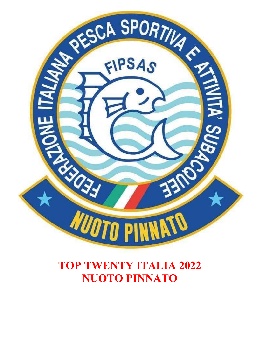

# TOP TWENTY ITALIA 2022 NUOTO PINNATO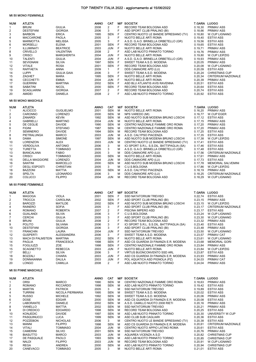# TOP TWENTY ITALIA 2022 - aggiornamento al 15/06/2022

## Mt 50 MONO FEMMINILE

| <b>NUM</b> | <b>ATLETA</b>                           |                                   | ANNO         | <b>CAT</b>               |             | <b>M/F SOCIETA'</b>                                                  | T.GARA LUOGO        |                                                |
|------------|-----------------------------------------|-----------------------------------|--------------|--------------------------|-------------|----------------------------------------------------------------------|---------------------|------------------------------------------------|
| 1          | <b>BRUNI</b>                            | <b>GIULIA</b>                     | 2008         | $\overline{\mathbf{c}}$  | F           | RECORD TEAM BOLOGNA ASD                                              | 0.18,30             | <b>PRIMAV ASS</b>                              |
| 2          | <b>DESTEFANI</b>                        | <b>GIORGIA</b>                    | 2006         | 3                        | F           | ASD SPORT CLUB PRALINO (BI)                                          | 0.18,66             | <b>PRIMAV ASS</b>                              |
| 3          | <b>BARBON</b>                           | <b>ERICA</b>                      | 1995         | <b>SEN</b>               | F           | CENTRO NUOTO LE BANDIE SPRESIANO (TV)                                | 0.18,80             | <b>W.CUP LIGNANO</b>                           |
| 4          | <b>MACCARONE</b>                        | <b>PAOLA</b>                      | 2005         | 3                        | F           | NUOTO BELLE ARTI ROMA                                                | 0.19,40             | <b>ESTIVI ASS</b>                              |
| 5          | <b>MARMOTTA</b>                         | <b>MELISSA</b>                    | 2005         | 3                        | F           | A.S.D. G.A.O. BRINELLA ORBETELLO (GR)                                | 0.19,56             | <b>ESTIVI ASS</b>                              |
| 6          | <b>MORSELLI</b>                         | <b>ELENA</b>                      | 2001         | <b>SEN</b>               | $\mathsf F$ | RECORD TEAM BOLOGNA ASD                                              | 0.19,65             | <b>ESTIVI ASS</b>                              |
| 7          | ILLUMINATI                              | <b>BEATRICE</b>                   | 2003         | <b>JUN</b>               | F           | NUOTO BELLE ARTI ROMA                                                | 0.19,71             | <b>PRIMAV ASS</b>                              |
| 8          | <b>CRIVELLO</b>                         | VALENTINA                         | 2008         | $\overline{2}$           | F           | ASD LAB NUOTO PINNATO TORINO                                         | 0.19,76             | <b>PRIMAV ASS</b>                              |
| 9          | <b>CRISCI</b>                           | <b>MARGHERITA</b>                 | 2004         | <b>JUN</b>               | F           | NUOTO BELLE ARTI ROMA                                                | 0.19,80             | W.CUP LEIPZIG                                  |
| 10         | <b>TALENTI</b>                          | <b>GIULIA</b>                     | 2004         | <b>JUN</b>               | F           | A.S.D. G.A.O. BRINELLA ORBETELLO (GR)                                | 0.19,93             | <b>PRIMAV ASS</b>                              |
| 11         | <b>SEVIGNANI</b>                        | <b>SILVIA</b>                     | 1997         | <b>SEN</b>               | F           | SWEET TEAM A.S.D. MODENA                                             | 0.20,05             | <b>PRIMAV ASS</b>                              |
| 12         | <b>VITALE</b>                           | <b>ROSA</b>                       | 2001         | <b>SEN</b>               | F           | RECORD TEAM BOLOGNA ASD                                              | 0.20,08             | W.CUP LIGNANO                                  |
| 13         | <b>RAFFAETA</b>                         | <b>ANNA</b>                       | 2009         | $\mathbf{1}$             | F           | DDS CAMAIORE APD (LU)                                                | 0.20.09             | <b>ESTIVI ASS</b>                              |
| 14         | <b>LUPPI</b>                            | <b>GIULIA GAIA</b>                | 2006         | 3                        | F           | SWEET TEAM A.S.D. MODENA                                             | 0.20,24             | <b>CHRISTMAS CUP</b>                           |
| 15         | <b>ZAGHET</b>                           | <b>MARA</b>                       | 1995         | <b>SEN</b>               | F<br>F      | NUOTO BELLE ARTI ROMA                                                | 0.20,34<br>0.20.39  | <b>CRITERIUM NAZIONALE</b>                     |
| 16         | <b>CECCHETTI</b>                        | <b>EMMA</b>                       | 2004         | <b>JUN</b>               | F           | NUOTO BELLE ARTI ROMA                                                |                     | <b>PRIMAV ASS</b>                              |
| 17<br>18   | <b>GUERRINI</b><br><b>SABATINI</b>      | <b>MARTINA</b><br><b>NICOL</b>    | 2002<br>2000 | <b>SEN</b><br><b>SEN</b> | F           | ASD BLU ATLANTIS AVIS RAVENNA<br>RECORD TEAM BOLOGNA ASD             | 0.20,51<br>0.20,64  | <b>ESTIVI ASS</b><br><b>ESTIVI ASS</b>         |
| 19         | <b>SCAGLIARINI</b>                      | <b>GIORGIA</b>                    | 2007         | $\overline{2}$           | F           | RECORD TEAM BOLOGNA ASD                                              | 0.20,74             | <b>ESTIVI ASS</b>                              |
| 20         | AMIDEI                                  | <b>DANIELA</b>                    | 2008         | $\overline{2}$           | F           | ASD LAB NUOTO PINNATO TORINO                                         | 0.20,92             | <b>ESTIVI ASS</b>                              |
|            |                                         |                                   |              |                          |             |                                                                      |                     |                                                |
|            | <b>Mt 50 MONO MASCHILE</b>              |                                   |              |                          |             |                                                                      |                     |                                                |
| <b>NUM</b> | <b>ATLETA</b>                           |                                   | ANNO         | <b>CAT</b>               |             | <b>M/F SOCIETA'</b>                                                  | <b>T.GARA LUOGO</b> |                                                |
| 1          | <b>ALICICCO</b>                         | <b>GUGLIELMO</b>                  | 2001         | <b>SEN</b>               | М           | NUOTO BELLE ARTI ROMA                                                | 0.16,20             | <b>PRIMAV ASS</b>                              |
| 2          | CARONNO                                 | <b>LORENZO</b>                    | 2000         | <b>SEN</b>               | м           | NPS VAREDO (MI)                                                      | 0.16,77             | W.CUP EGER                                     |
| 3          | ZANARDI                                 | <b>KEVIN</b>                      | 1992         | <b>SEN</b>               | м           | ASD NUOTO SUB MODENA BRUNO LOSCHI                                    | 0.17, 12            | <b>ESTIVI ASS</b>                              |
| 4          | <b>GABRIELLI</b>                        | <b>MARTINO</b>                    | 2004         | <b>JUN</b>               | м           | NUOTO BELLE ARTI ROMA                                                | 0.17, 15            | <b>PRIMAV ASS</b>                              |
| 5          | DE CEGLIE                               | <b>DAVIDE</b>                     | 1990         | <b>SEN</b>               | м           | CENTRO NAZIONALE FIAMME ORO ROMA                                     | 0.17,20             | <b>PRIMAV ASS</b>                              |
| 6          | <b>FIGINI</b>                           | <b>STEFANO</b>                    | 1987         | <b>SEN</b>               | М           | CENTRO NAZIONALE FIAMME ORO ROMA                                     | 0.17,20             | <b>PRIMAV ASS</b>                              |
| 7          | <b>SEMINERIO</b>                        | <b>DAVIDE</b>                     | 1994         | <b>SEN</b>               | м           | RECORD TEAM BOLOGNA ASD                                              | 0.17,25             | <b>ESTIVI ASS</b>                              |
| 8          | PIETRALUNGA                             | <b>MARCO</b>                      | 2003         | <b>JUN</b>               | м           | A.S.D. CALYPSO PIACENZA                                              | 0.17,35             | <b>ESTIVI ASS</b>                              |
| 9          | DAMA                                    | <b>SIMONE</b>                     | 1997         | <b>SEN</b>               | M           | ASD NUOTO SUB MODENA BRUNO LOSCHI                                    | 0.17,38             | W.CUP LEIPZIG                                  |
| 10         | <b>LORENZON</b>                         | ALEX                              | 2003         | <b>JUN</b>               | М           | CENTRO NUOTO LE BANDIE SPRESIANO (TV)                                | 0.17,41             | <b>ESTIVI ASS</b>                              |
| 11         | <b>VERDOLIVA</b>                        | <b>ANTONIO</b>                    | 2006         | 3                        | M           | ICI SPORT S.R.L. S.S.DIL. BATTIPAGLIA (SA)                           | 0.17,46             | <b>ESTIVI ASS</b>                              |
| 12         | <b>TURETTA</b>                          | <b>TOMMASO</b>                    | 2005         | 3                        | M           | A.S.D. G.A.O. BRINELLA ORBETELLO (GR)                                | 0.17,48             | <b>ESTIVI ASS</b>                              |
| 13         | <b>BIANCALANA</b>                       | <b>FABIO</b>                      | 2005         | 3                        | M           | DDS CAMAIORE APD (LU)                                                | 0.17,56             | <b>CRITERIUM NAZIONALE</b>                     |
| 14         | <b>CRISCI</b>                           | <b>TOMMASO</b>                    | 2000         | <b>SEN</b>               | м           | NUOTO BELLE ARTI ROMA                                                | 0.17,61             | <b>PRIMAV ASS</b>                              |
| 15<br>16   | <b>DELLA MAGGIORE</b><br><b>SANTINI</b> | <b>LORENZO</b><br><b>MARCELLO</b> | 2004<br>2000 | <b>JUN</b><br><b>SEN</b> | м<br>м      | DDS CAMAIORE APD (LU)<br>ASD NUOTO SUB MODENA BRUNO LOSCHI           | 0.17,73<br>0.17,78  | <b>ESTIVI ASS</b><br><b>MEMORIAL SALVEMINI</b> |
| 17         | <b>DEGLI ESPOSTI</b>                    | <b>CHRISTIAN</b>                  | 2005         | 3                        | M           | C.U.S.BOLOGNA                                                        | 0.17,86             | W.CUP LEIPZIG                                  |
| 18         | <b>BAZZONI</b>                          | <b>MATTIA</b>                     | 2000         | SEN                      | М           | A.S.D. CALYPSO PIACENZA                                              | 0.18, 19            | <b>PRIMAV ASS</b>                              |
| 19         | <b>SPELTA</b>                           | <b>LEONARDO</b>                   | 2006         | 3                        | M           | DDS CAMAIORE APD (LU)                                                | 0.18,25             | <b>CRITERIUM NAZIONALE</b>                     |
| 20         | <b>COLUCCI</b>                          | <b>FILIPPO</b>                    | 2004         | JUN                      | M           | RECORD TEAM BOLOGNA ASD                                              | 0.18,29             | W.CUP LIGNANO                                  |
|            | <b>Mt 50 PINNE FEMMINILE</b>            |                                   |              |                          |             |                                                                      |                     |                                                |
| <b>NUM</b> | <b>ATLETA</b>                           |                                   | <b>ANNO</b>  | <b>CAT</b>               |             | <b>M/F SOCIETA'</b>                                                  | <b>T.GARA LUOGO</b> |                                                |
| 1          | <b>MAGOGA</b>                           | <b>VIOLA</b>                      | 2001         | SEN                      | F           | SSD NATATORIUM TREVISO                                               | 0.22,74             | <b>ESTIVI ASS</b>                              |
| 2          | <b>TROCCA</b>                           | <b>CAROLINA</b>                   | 2002         | <b>SEN</b>               | F           | ASD SPORT CLUB PRALINO (BI)                                          | 0.23, 15            | <b>PRIMAV ASS</b>                              |
| 2          | <b>BAROZZI</b>                          | <b>MATILDE</b>                    | 2002         | SEN                      | F           | ASD NUOTO SUB MODENA BRUNO LOSCHI                                    | 0.23, 15            | W.CUP LEIPZIG                                  |
| 4          | <b>RAINERO</b>                          | <b>SOFIA</b>                      | 2005         | 3                        | F           | ASD SPORT CLUB PRALINO (BI)                                          | 0.23,17             | <b>CRITERIUM NAZIONALE</b>                     |
| 4          | ROMANO                                  | <b>ROBERTA</b>                    | 2007         | 2                        | F           | PISCINA IMPERO ASD                                                   | 0.23, 17            | <b>ESTIVI ASS</b>                              |
| 6          | <b>GUALANDI</b>                         | SILVIA                            | 2006         | 3                        | F           | C.U.S.BOLOGNA                                                        | 0.23,24             | W.CUP LIGNANO                                  |
| 7          | <b>CERCHI</b>                           | <b>GIULIA</b>                     | 2005         | 3                        | F           | ASD SPORT CLUB PRALINO (BI)                                          | 0.23,30             | W.CUP LIGNANO                                  |
| 8          | <b>BRUNI</b>                            | <b>GIULIA</b>                     | 2008         | 2                        | F           | RECORD TEAM BOLOGNA ASD                                              | 0.23,32             | <b>PRIMAV ASS</b>                              |
| 9          | <b>POLITO</b>                           | SILVANA                           | 2006         | 3                        | F           | ICI SPORT S.R.L. S.S.DIL. BATTIPAGLIA (SA)                           | 0.23,40             | <b>ESTIVI ASS</b>                              |
| 10         | <b>DESTEFANI</b>                        | <b>GIORGIA</b>                    | 2006         | 3                        | F           | ASD SPORT CLUB PRALINO (BI)                                          | 0.23,48             | <b>PRIMAV ASS</b>                              |
| 11         | <b>FRANCHIN</b>                         | LAURA                             | 2004         | <b>JUN</b>               | F           | SSD NATATORIUM TREVISO                                               | 0.23,50             | W.CUP LIGNANO                                  |
| 12         | <b>GUSPERTI</b>                         | ALESSANDRA                        | 2006         | 3                        | F           | SWEET TEAM A.S.D. MODENA                                             | 0.23,57             | PRIMAV CAT                                     |
| 13         | <b>MACH DI PALMSTEIN</b>                | <b>MARTINA</b>                    | 2002         | <b>SEN</b>               | F           | NUOTO BELLE ARTI ROMA                                                | 0.23,61             | <b>W.CUP LIGNANO</b>                           |
| 14         | <b>PAGLIA</b>                           | <b>FRANCESCA</b>                  | 1998         | SEN                      | F           | ASD CS GUARDIA DI FINANZA E.R. MODENA                                | 0.23,68             | <b>MEMORIAL GORI</b>                           |
| 15         | <b>FOGLIUZZI</b>                        | ZOE                               | 1998         | <b>SEN</b>               | F           | CENTRO NAZIONALE FIAMME ORO ROMA                                     | 0.23,84             | <b>PRIMAV ASS</b>                              |
| 15         | <b>SCAGNETTO</b>                        | <b>REBECCA</b>                    | 2003         | <b>JUN</b>               | F           | NUOTO BELLE ARTI ROMA                                                | 0.23,84             | W.CUP LEIPZIG                                  |
| 17         | BELLI                                   | <b>SILVIA</b>                     | 2006         | 3                        | F<br>F      | VIRTUS BUONCONVENTO SSD ARL<br>ASD CS GUARDIA DI FINANZA E.R. MODENA | 0.23,87             | <b>ESTIVI ASS</b>                              |
| 18<br>19   | <b>BOZZALI</b><br>DONNAIANNA            | CHIARA<br>DALILA                  | 2003<br>2003 | <b>JUN</b><br><b>JUN</b> | F           | POL AQUATICA ASD PIGNOLA (PZ)                                        | 0.23,93<br>0.24,03  | <b>PRIMAV ASS</b><br>PRIMAV CAT                |
| 20         | <b>LONGO</b>                            | CAMILLA                           | 2008         | $\overline{2}$           | F           | ASD LAB NUOTO PINNATO TORINO                                         | 0.24,04             | <b>PRIMAV ASS</b>                              |
|            | Mt 50 PINNE MASCHILE                    |                                   |              |                          |             |                                                                      |                     |                                                |
| <b>NUM</b> | <b>ATLETA</b>                           |                                   | ANNO         | <b>CAT</b>               |             | <b>M/F SOCIETA'</b>                                                  | T.GARA LUOGO        |                                                |
| 1          | <b>ORSI</b>                             | <b>MARCO</b>                      | 1990         | SEN                      | M           | CENTRO NAZIONALE FIAMME ORO ROMA                                     | 0.18,63             | <b>PRIMAV ASS</b>                              |
| 2          | <b>ROMANO</b>                           | <b>RICCARDO</b>                   | 1998         | SEN                      | м           | ASD LAB NUOTO PINNATO TORINO                                         | 0.19,42             | <b>ESTIVI ASS</b>                              |
| 3          | <b>MARTIN</b>                           | <b>PATRICK</b>                    | 2005         | 3                        | M           | SSD NATATORIUM TREVISO                                               | 0.19,89             | <b>ESTIVI ASS</b>                              |
| 4          | <b>TURRINI</b>                          | NICOLA PIERMARIA                  | 1995         | <b>SEN</b>               | м           | SWEET TEAM A.S.D. MODENA                                             | 0.20,02             | <b>ESTIVI ASS</b>                              |
| 5          | <b>RUSSO</b>                            | <b>MICHELE</b>                    | 1992         | SEN                      | м           | SWEET TEAM A.S.D. MODENA                                             | 0.20,06             | PRIMAV ASS                                     |
| 6          | <b>DOSE</b>                             | <b>EDGAR</b>                      | 2000         | SEN                      | М           | ASD CS GUARDIA DI FINANZA E.R. MODENA                                | 0.20,08             | <b>ESTIVI ASS</b>                              |
| 7          | LABORANTE                               | DANIELE                           | 2002         | SEN                      | м           | A.S.D. CAMILLO NUOTO 2008 RIETI                                      | 0.20, 16            | <b>PRIMAV ASS</b>                              |
| 8          | <b>VIANELLO</b>                         | MATTIA                            | 2002         | SEN                      | М           | SSD NATATORIUM TREVISO                                               | 0.20,21             | <b>PRIMAV ASS</b>                              |
| 9          | DI CREDICO                              | <b>EDOARDO</b>                    | 1998         | SEN                      | М           | RECORD TEAM BOLOGNA ASD                                              | 0.20,25             | <b>ESTIVI ASS</b>                              |
| 10         | <b>KONJEDIC</b>                         | <b>DAVIDE</b>                     | 1997         | SEN                      | M           | ASD LAB NUOTO PINNATO TORINO                                         | 0.20,30             | UNIVERSITY W.CUP                               |

| 6  | <b>DOSE</b>        | <b>EDGAR</b>    | 2000 | <b>SEN</b> | м | ASD CS GUARDIA DI FINANZA E.R. MODENA | 0.20.08 | <b>ESTIVI ASS</b>          |
|----|--------------------|-----------------|------|------------|---|---------------------------------------|---------|----------------------------|
|    | <b>LABORANTE</b>   | <b>DANIELE</b>  | 2002 | SEN        | м | A.S.D. CAMILLO NUOTO 2008 RIETI       | 0.20.16 | <b>PRIMAV ASS</b>          |
| 8  | <b>VIANELLO</b>    | <b>MATTIA</b>   | 2002 | SEN        | м | <b>SSD NATATORIUM TREVISO</b>         | 0.20.21 | <b>PRIMAV ASS</b>          |
| 9  | DI CREDICO         | EDOARDO         | 1998 | SEN        | м | RECORD TEAM BOLOGNA ASD               | 0.20.25 | <b>ESTIVI ASS</b>          |
| 10 | <b>KONJEDIC</b>    | <b>DAVIDE</b>   | 1997 | SEN        | м | ASD LAB NUOTO PINNATO TORINO          | 0.20.30 | UNIVERSITY W.CUP           |
| 11 | <b>PASQUINUCCI</b> | <b>LUCA</b>     | 1999 | SEN        | м | ASD CLUB SUB CAGLIARI                 | 0.20.36 | ESTIVI ASS                 |
| 12 | POZZEBON           | <b>NICHOLAS</b> | 2006 | 3          | м | CENTRO NUOTO LE BANDIE SPRESIANO (TV) | 0.20.38 | <b>ESTIVI ASS</b>          |
| 13 | MANNI              | <b>FILIPPO</b>  | 1998 | SEN        | м | ASD CS GUARDIA DI FINANZA E.R. MODENA | 0.20.61 | <b>CRITERIUM NAZIONALE</b> |
| 14 | VITALI             | <b>TOMMASO</b>  | 2004 | <b>JUN</b> | м | CENTRO NUOTO APPIO LATINO ROMA        | 0.20.61 | <b>ESTIVI ASS</b>          |
| 15 | <b>CAMERINI</b>    | <b>SILVIO</b>   | 2001 | SEN        | м | SSD NATATORIUM TREVISO                | 0.20.76 | <b>PRIMAV ASS</b>          |
| 16 | <b>BIASUTTO</b>    | <b>MARCO</b>    | 2003 | <b>JUN</b> | м | AQUAREA VICENZA A.S.D.                | 0.20.82 | <b>CHRISTMAS CUP</b>       |
| 17 | DE PASQUALE        | <b>PAOLO</b>    | 1993 | SEN        | м | ASD LAB NUOTO PINNATO TORINO          | 0.20.85 | <b>CHRISTMAS CUP</b>       |
| 18 | NALDI              | <b>FILIPPO</b>  | 2003 | JUN        | м | RECORD TEAM BOLOGNA ASD               | 0.20.91 | W.CUP LIGNANO              |
| 19 | REGA               | ANDREA          | 2000 | SEN        | м | ASD LAB NUOTO PINNATO TORINO          | 0.20.94 | <b>CHRISTMAS CUP</b>       |
| 20 | CANEVACCI          | <b>TOMMASO</b>  | 2005 | 3          | м | NUOTO BELLE ARTI ROMA                 | 0.21.01 | <b>ESTIVI ASS</b>          |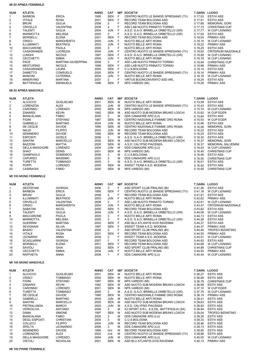#### Mt 50 APNEA FEMMINILE

| <b>NUM</b>     | <b>ATLETA</b>                           |                                            | <b>ANNO</b>  | CAT                          |        | <b>M/F SOCIETA'</b>                                                             | <b>T.GARA LUOGO</b> |                                              |
|----------------|-----------------------------------------|--------------------------------------------|--------------|------------------------------|--------|---------------------------------------------------------------------------------|---------------------|----------------------------------------------|
| 1              | <b>BARBON</b>                           | <b>ERICA</b>                               | 1995         | <b>SEN</b>                   | F      | CENTRO NUOTO LE BANDIE SPRESIANO (TV)                                           | 0.17,03             | <b>ESTIVI ASS</b>                            |
| 2              | <b>VITALE</b>                           | <b>ROSA</b>                                | 2001         | <b>SEN</b>                   | F      | RECORD TEAM BOLOGNA ASD                                                         | 0.17,51             | <b>ESTIVI ASS</b>                            |
| 3              | <b>BRUNI</b>                            | <b>GIULIA</b>                              | 2008         | 2                            | F      | RECORD TEAM BOLOGNA ASD                                                         | 0.17,68             | <b>MEMORIAL GORI</b>                         |
| 4<br>5         | <b>CRIVELLO</b><br><b>TALENTI</b>       | VALENTINA<br><b>GIULIA</b>                 | 2008<br>2004 | 2<br><b>JUN</b>              | F<br>F | ASD LAB NUOTO PINNATO TORINO<br>A.S.D. G.A.O. BRINELLA ORBETELLO (GR)           | 0.17,73<br>0.17,77  | <b>CHRISTMAS CUP</b><br><b>W.CUP LIGNANO</b> |
| 6              | <b>MARMOTTA</b>                         | <b>MELISSA</b>                             | 2005         | 3                            | F      | A.S.D. G.A.O. BRINELLA ORBETELLO (GR)                                           | 0.17,93             | <b>ESTIVI ASS</b>                            |
| $\overline{7}$ | <b>MORSELLI</b>                         | <b>ELENA</b>                               | 2001         | <b>SEN</b>                   | F      | RECORD TEAM BOLOGNA ASD                                                         | 0.18,04             | <b>PRIMAV ASS</b>                            |
| 8              | <b>CRISCI</b>                           | <b>MARGHERITA</b>                          | 2004         | <b>JUN</b>                   | F      | NUOTO BELLE ARTI ROMA                                                           | 0.18, 15            | <b>W.CUP LIGNANO</b>                         |
| 9              | ILLUMINATI                              | <b>BEATRICE</b>                            | 2003         | <b>JUN</b>                   | F      | NUOTO BELLE ARTI ROMA                                                           | 0.18,22             | <b>PRIMAV ASS</b>                            |
| 10             | MACCARONE                               | <b>PAOLA</b>                               | 2005         | 3                            | F      | NUOTO BELLE ARTI ROMA                                                           | 0.18,25             | <b>ESTIVI ASS</b>                            |
| 11             | CASAGRANDE                              | <b>LUCREZIA</b>                            | 2004         | <b>JUN</b>                   | F      | CENTRO NUOTO LE BANDIE SPRESIANO (TV)                                           | 0.18,62             | CRITERIUM NAZIONALE                          |
| 12             | <b>LUNGHI</b>                           | <b>NICOLE</b>                              | 1997         | <b>SEN</b>                   | F      | A.S.D. G.A.O. BRINELLA ORBETELLO (GR)                                           | 0.18,69             | <b>W.CUP LIGNANO</b>                         |
| 13             | <b>CECCHETTI</b>                        | <b>EMMA</b>                                | 2004         | <b>JUN</b>                   | F      | NUOTO BELLE ARTI ROMA                                                           | 0.18,79             | W.CUP LIGNANO                                |
| 14             | PACE                                    | <b>MARTINA GIUSEPPINA</b><br><b>NICOLE</b> | 2006<br>1998 | 3<br><b>SEN</b>              | F<br>F | ASD LAB NUOTO PINNATO TORINO<br>ASD LAB NUOTO PINNATO TORINO                    | 0.18,84             | <b>CHRISTMAS CUP</b>                         |
| 15<br>16       | <b>MESTURINO</b><br>CASAGRANDE          | <b>LAURA</b>                               | 2000         | <b>SEN</b>                   | F      | C.U.S.BOLOGNA                                                                   | 0.18,86<br>0.19, 14 | PRIMAV ASS<br><b>ESTIVI ASS</b>              |
| 17             | <b>DAMETTO</b>                          | CONSUELO                                   | 2000         | <b>SEN</b>                   | F      | CENTRO NUOTO LE BANDIE SPRESIANO (TV)                                           | 0.19, 16            | PRIMAV ASS                                   |
| 18             | <b>MANCINI</b>                          | <b>CATERINA</b>                            | 2004         | <b>JUN</b>                   | F      | NUOTO BELLE ARTI ROMA                                                           | 0.19, 18            | W.CUP LIGNANO                                |
| 19             | <b>MINERVINO</b>                        | <b>MARTINA</b>                             | 2007         | 2                            | F      | VIRTUS BUONCONVENTO SSD ARL                                                     | 0.19,24             | <b>ESTIVI ASS</b>                            |
| 20             | <b>BATTIPAGLIA</b>                      | <b>EMANUELA</b>                            | 1998         | <b>SEN</b>                   | F      | NPS VAREDO (MI)                                                                 | 0.19,26             | <b>PRIMAV ASS</b>                            |
|                |                                         |                                            |              |                              |        |                                                                                 |                     |                                              |
|                | Mt 50 APNEA MASCHILE                    |                                            |              |                              |        |                                                                                 |                     |                                              |
| <b>NUM</b>     | <b>ATLETA</b>                           |                                            | ANNO         | CAT                          |        | <b>M/F SOCIETA'</b>                                                             | <b>T.GARA LUOGO</b> |                                              |
| 1              | <b>ALICICCO</b>                         | <b>GUGLIELMO</b>                           | 2001         | <b>SEN</b>                   | м      | NUOTO BELLE ARTI ROMA                                                           | 0.14,99             | <b>ESTIVI ASS</b>                            |
| 2              | <b>LORENZON</b>                         | <b>ALEX</b>                                | 2003         | <b>JUN</b>                   | м      | CENTRO NUOTO LE BANDIE SPRESIANO (TV)                                           | 0.15,43             | <b>ESTIVI ASS</b>                            |
| 3              | <b>CARONNO</b>                          | <b>LORENZO</b>                             | 2000         | <b>SEN</b>                   | M      | NPS VAREDO (MI)                                                                 | 0.15,74             | <b>W.CUP LIGNANO</b>                         |
| 4              | ZANARDI                                 | <b>KEVIN</b>                               | 1992         | <b>SEN</b>                   | м      | ASD NUOTO SUB MODENA BRUNO LOSCHI                                               | 0.15,82             | W.CUP EGER                                   |
| 5              | <b>BIANCALANA</b>                       | <b>FABIO</b>                               | 2005         | 3                            | М      | DDS CAMAIORE APD (LU)                                                           | 0.15,84             | <b>ESTIVI ASS</b>                            |
| 6              | <b>FIGINI</b>                           | <b>STEFANO</b>                             | 1987         | SEN                          | М      | CENTRO NAZIONALE FIAMME ORO ROMA                                                | 0.15,93             | W.CUP EGER                                   |
| $\overline{7}$ | <b>GABRIELLI</b>                        | <b>MARTINO</b>                             | 2004         | <b>JUN</b>                   | M      | NUOTO BELLE ARTI ROMA                                                           | 0.15,96             | <b>ESTIVI ASS</b>                            |
| 8              | DE CEGLIE                               | <b>DAVIDE</b>                              | 1990         | <b>SEN</b>                   | м      | CENTRO NAZIONALE FIAMME ORO ROMA                                                | 0.16,06             | <b>MEMORIAL GORI</b>                         |
| 9              | NALDI                                   | <b>FILIPPO</b>                             | 2003         | <b>JUN</b>                   | M      | RECORD TEAM BOLOGNA ASD                                                         | 0.16,22             | <b>ESTIVI ASS</b>                            |
| 10             | <b>SEMINERIO</b>                        | <b>DAVIDE</b>                              | 1994         | <b>SEN</b>                   | м      | RECORD TEAM BOLOGNA ASD                                                         | 0.16,24             | <b>ESTIVI ASS</b>                            |
| 11             | <b>ESPOSITI</b>                         | <b>GIOELE</b>                              | 2006         | 3                            | М      | A.S.D. G.A.O. BRINELLA ORBETELLO (GR)                                           | 0.16, 30            | <b>ESTIVI ASS</b>                            |
| 12             | <b>SANTINI</b>                          | <b>MARCELLO</b>                            | 2000         | <b>SEN</b>                   | м      | ASD NUOTO SUB MODENA BRUNO LOSCHI                                               | 0.16,37             | <b>MEMORIAL GORI</b>                         |
| 12             | <b>BAZZONI</b>                          | MATTIA                                     | 2000         | <b>SEN</b>                   | м<br>M | A.S.D. CALYPSO PIACENZA                                                         | 0.16,37             | <b>MEMORIAL SALVEMINI</b>                    |
| 14<br>15       | <b>DELLA MAGGIORE</b><br><b>SHAO</b>    | <b>LORENZO</b><br><b>DENIS</b>             | 2004<br>2001 | <b>JUN</b><br><b>SEN</b>     | м      | DDS CAMAIORE APD (LU)<br>NPS VAREDO (MI)                                        | 0.16,43<br>0.16,45  | <b>W.CUP LIGNANO</b><br><b>CHRISTMAS CUP</b> |
| 16             | <b>GIAMPAOLO</b>                        | <b>DOMENICO</b>                            | 2006         | 3                            | М      | C.U.S.BOLOGNA                                                                   | 0.16,46             | <b>ESTIVI ASS</b>                            |
| 17             | CAPURSO                                 | <b>MASSIMO</b>                             | 2005         | 3                            | M      | DDS CAMAIORE APD (LU)                                                           | 0.16,50             | <b>CHRISTMAS CUP</b>                         |
| 18             | <b>TURETTA</b>                          | <b>TOMMASO</b>                             | 2005         | 3                            | M      | A.S.D. G.A.O. BRINELLA ORBETELLO (GR)                                           | 0.16,51             | <b>ESTIVI ASS</b>                            |
| 19             | <b>POPPI</b>                            | <b>LORENZO</b>                             | 2000         | <b>SEN</b>                   | м      | SWEET TEAM A.S.D. MODENA                                                        | 0.16,52             | <b>ESTIVI ASS</b>                            |
| 20             | <b>CASIRAGHI</b>                        | <b>FABIO</b>                               | 2000         | <b>SEN</b>                   | м      | NPS VAREDO (MI)                                                                 | 0.16,65             | <b>CHRISTMAS CUP</b>                         |
|                |                                         |                                            |              |                              |        |                                                                                 |                     |                                              |
|                | Mt 100 MONO FEMMINILE                   |                                            |              |                              |        |                                                                                 |                     |                                              |
|                |                                         |                                            |              |                              |        |                                                                                 |                     |                                              |
|                |                                         |                                            |              |                              |        |                                                                                 |                     |                                              |
| <b>NUM</b>     | <b>ATLETA</b>                           |                                            | <b>ANNO</b>  | <b>CAT</b>                   |        | <b>M/F SOCIETA'</b>                                                             | <b>T.GARA LUOGO</b> |                                              |
| 1              | <b>DESTEFANI</b>                        | <b>GIORGIA</b>                             | 2006         | 3                            | F      | ASD SPORT CLUB PRALINO (BI)                                                     | 0.41,06             | <b>ESTIVI ASS</b>                            |
| 2              | <b>BARBON</b>                           | <b>ERICA</b>                               | 1995         | <b>SEN</b>                   | F      | CENTRO NUOTO LE BANDIE SPRESIANO (TV)                                           | 0.41, 18            | W.CUP LIGNANO                                |
| 3              | <b>BRUNI</b>                            | <b>GIULIA</b>                              | 2008         | 2                            | F      | RECORD TEAM BOLOGNA ASD                                                         | 0.41,91             | <b>ESTIVI ASS</b>                            |
| 4<br>5         | ILLUMINATI                              | <b>BEATRICE</b>                            | 2003         | <b>JUN</b><br>$\overline{2}$ | F<br>F | NUOTO BELLE ARTI ROMA                                                           | 0.42,62             | <b>PRIMAV ASS</b>                            |
| 6              | <b>CRIVELLO</b><br><b>CRISCI</b>        | VALENTINA<br><b>MARGHERITA</b>             | 2008<br>2004 | <b>JUN</b>                   | F      | ASD LAB NUOTO PINNATO TORINO<br>NUOTO BELLE ARTI ROMA                           | 0.42,81<br>0.43,47  | W.CUP LIGNANO<br>CRITERIUM NAZIONALE         |
| $\overline{7}$ | SABATINI                                | <b>NICOL</b>                               | 2000         | <b>SEN</b>                   | F      | RECORD TEAM BOLOGNA ASD                                                         | 0.43,82             | <b>ESTIVI ASS</b>                            |
| 8              | <b>TALENTI</b>                          | <b>GIULIA</b>                              | 2004         | <b>JUN</b>                   | F      | A.S.D. G.A.O. BRINELLA ORBETELLO (GR)                                           | 0.44,06             | W.CUP LIGNANO                                |
| 9              | MACCARONE                               | <b>PAOLA</b>                               | 2005         | 3                            | F      | NUOTO BELLE ARTI ROMA                                                           | 0.44, 13            | <b>ESTIVI ASS</b>                            |
| 10             | <b>MARMOTTA</b>                         | <b>MELISSA</b>                             | 2005         | 3                            | F      | A.S.D. G.A.O. BRINELLA ORBETELLO (GR)                                           | 0.44,26             | <b>ESTIVI ASS</b>                            |
| 11             | <b>GUERRINI</b>                         | <b>MARTINA</b>                             | 2002         | <b>SEN</b>                   | F      | ASD BLU ATLANTIS AVIS RAVENNA                                                   | 0.44,27             | <b>ESTIVI ASS</b>                            |
| 12             | <b>SEVIGNANI</b>                        | <b>SILVIA</b>                              | 1997         | <b>SEN</b>                   | F      | SWEET TEAM A.S.D. MODENA                                                        | 0.44,37             | PRIMAV ASS                                   |
| 13             | <b>BASSO</b>                            | VALENTINA                                  | 2006         | 3                            | F      | ASD SPORT CLUB PRALINO (BI)                                                     | 0.44,46             | <b>TROFEO BIZANTINO</b>                      |
| 14             | <b>VITALE</b>                           | <b>ROSA</b>                                | 2001         | <b>SEN</b>                   | F      | RECORD TEAM BOLOGNA ASD                                                         | 0.44,50             | <b>PRIMAV ASS</b>                            |
| 15             | LEONARDI                                | <b>ANNA</b>                                | 2008         | 2                            | F      | SWEET TEAM A.S.D. MODENA                                                        | 0.44,51             | W.CUP LIGNANO                                |
| 16             | <b>SCAGLIARINI</b>                      | <b>GIORGIA</b>                             | 2007         | $\overline{2}$               | F      | RECORD TEAM BOLOGNA ASD                                                         | 0.44,63             | <b>ESTIVI ASS</b>                            |
| 17<br>18       | <b>MORSELLI</b><br>SAVIOLI              | <b>ELENA</b><br><b>GAIA</b>                | 2001<br>2002 | <b>SEN</b><br><b>SEN</b>     | F<br>F | RECORD TEAM BOLOGNA ASD<br>ASD SPORT CLUB PRALINO (BI)                          | 0.44,68<br>0.44,88  | W.CUP LIGNANO<br><b>CHRISTMAS CUP</b>        |
| 19             | <b>CECCHETTI</b>                        | <b>EMMA</b>                                | 2004         | <b>JUN</b>                   | F      | NUOTO BELLE ARTI ROMA                                                           | 0.44,93             | PRIMAV ASS                                   |
| 20             | <b>RAFFAETA</b>                         | <b>ANNA</b>                                | 2009         | $\mathbf{1}$                 | F      | DDS CAMAIORE APD (LU)                                                           | 0.45.44             | W.CUP LIGNANO                                |
|                | Mt 100 MONO MASCHILE                    |                                            |              |                              |        |                                                                                 |                     |                                              |
|                |                                         |                                            |              |                              |        |                                                                                 |                     |                                              |
| <b>NUM</b>     | <b>ATLETA</b>                           |                                            | ANNO         | CAT                          |        | <b>M/F SOCIETA'</b>                                                             | <b>T.GARA LUOGO</b> |                                              |
| 1              | <b>ALICICCO</b>                         | <b>GUGLIELMO</b>                           | 2001         | <b>SEN</b>                   | м      | NUOTO BELLE ARTI ROMA                                                           | 0.36,27             | <b>ESTIV ASS</b>                             |
| 2              | <b>CRISCI</b>                           | <b>TOMMASO</b>                             | 2000         | <b>SEN</b>                   | м      | NUOTO BELLE ARTI ROMA                                                           | 0.36,68             | <b>ESTIV ASS</b>                             |
| 3              | <b>FIGINI</b>                           | <b>STEFANO</b>                             | 1987         | <b>SEN</b>                   | м      | NPS VAREDO (MI)                                                                 | 0.36,78             | <b>CHRISTMAS CUP</b>                         |
| 4              | ZANARDI                                 | <b>KEVIN</b>                               | 1992         | SEN                          | М      | ASD NUOTO SUB MODENA BRUNO LOSCHI                                               | 0.36,99             | <b>ESTIV ASS</b>                             |
| 5              | CARONNO                                 | <b>LORENZO</b>                             | 2001         | <b>SEN</b>                   | м      | NPS VAREDO (MI)                                                                 | 0.37, 10            | W.CUP EGER                                   |
| 6              | <b>TURETTA</b>                          | <b>TOMMASO</b>                             | 2005         | 3                            | М      | A.S.D. G.A.O. BRINELLA ORBETELLO (GR)                                           | 0.37,79             | W.CUP LIGNANO                                |
| 7              | DE CEGLIE                               | <b>DAVIDE</b>                              | 1990         | SEN                          | М<br>м | CENTRO NAZIONALE FIAMME ORO ROMA                                                | 0.38,19             | PRIMAV ASS                                   |
| 8              | <b>GABRIELLI</b>                        | <b>MARTINO</b>                             | 2004         | JUN                          |        | NUOTO BELLE ARTI ROMA                                                           | 0.38,41             | <b>ESTIV ASS</b>                             |
| 9              | <b>SANTINI</b>                          | <b>MARCELLO</b>                            | 2000         | <b>SEN</b>                   | М<br>м | ASD NUOTO SUB MODENA BRUNO LOSCHI                                               | 0.38,63             | <b>ESTIV ASS</b>                             |
| 10<br>11       | PIETRALUNGA<br><b>VERDOLIVA</b>         | <b>MARCO</b><br><b>ANTONIO</b>             | 2003<br>2006 | JUN<br>3                     | М      | A.S.D. CALYPSO PIACENZA                                                         | 0.38,92<br>0.38,94  | <b>ESTIV ASS</b><br><b>ESTIV ASS</b>         |
| 12             | DAMA                                    | <b>SIMONE</b>                              | 1997         | <b>SEN</b>                   | м      | ICI SPORT S.R.L. S.S.DIL. BATTIPAGLIA (SA)<br>ASD NUOTO SUB MODENA BRUNO LOSCHI | 0.39,04             | <b>TROFEO BIZANTINO</b>                      |
| 13             | <b>BIANCALANA</b>                       | <b>FABIO</b>                               | 2005         | 3                            | М      | DDS CAMAIORE APD (LU)                                                           | 0.39,30             | <b>ESTIV ASS</b>                             |
| 14             | <b>DEGLI ESPOSTI</b>                    | <b>CHRISTIAN</b>                           | 2005         | 3                            | М      | C.U.S.BOLOGNA                                                                   | 0.39,32             | <b>ESTIV ASS</b>                             |
| 15             | <b>COLUCCI</b>                          | <b>FILIPPO</b>                             | 2004         | <b>JUN</b>                   | M      | RECORD TEAM BOLOGNA ASD                                                         | 0.39,46             | <b>ESTIV ASS</b>                             |
| 16             | SPELTA                                  | <b>LEONARDO</b>                            | 2006         | 3                            | M      | DDS CAMAIORE APD (LU)                                                           | 0.39,73             | <b>ESTIV ASS</b>                             |
| 17             | <b>SEMINERIO</b>                        | <b>DAVIDE</b>                              | 1994         | SEN                          | м      | RECORD TEAM BOLOGNA ASD                                                         | 0.39,85             | <b>ESTIV ASS</b>                             |
| 18             | <b>LORENZON</b>                         | ALEX                                       | 2003         | JUN                          | М      | CENTRO NUOTO LE BANDIE SPRESIANO (TV)                                           | 0.39,98             | <b>ESTIV ASS</b>                             |
| 19<br>20       | <b>DELLA MAGGIORE</b><br><b>VISTOLI</b> | <b>LORENZO</b><br><b>NICHOLAS</b>          | 2004<br>2001 | JUN<br><b>SEN</b>            | м<br>м | DDS CAMAIORE APD (LU)<br>ASD BLU ATLANTIS AVIS RAVENNA                          | 0.40,05<br>0.40,13  | W.CUP LIGNANO<br>PRIMAV ASS                  |

Mt 100 PINNE FEMMINILE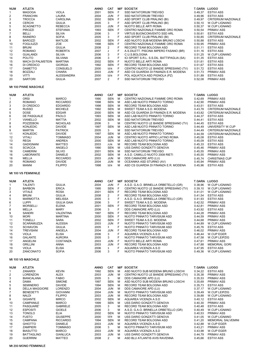| <b>NUM</b>              | <b>ATLETA</b>                     |                                    | <b>ANNO</b>  | CAT                                   |        | <b>M/F SOCIETA'</b>                                                            | T.GARA LUOGO        |                                           |  |  |  |
|-------------------------|-----------------------------------|------------------------------------|--------------|---------------------------------------|--------|--------------------------------------------------------------------------------|---------------------|-------------------------------------------|--|--|--|
| $\mathbf{1}$            | <b>MAGOGA</b>                     | <b>VIOLA</b>                       | 2001         | <b>SEN</b>                            | F      | SSD NATATORIUM TREVISO                                                         | 0.49,37             | <b>ESTIVI ASS</b>                         |  |  |  |
| 2                       | <b>FRANCHIN</b>                   | <b>LAURA</b>                       | 2004         | <b>JUN</b>                            | F      | SSD NATATORIUM TREVISO                                                         | 0.49,96             | <b>ESTIVI ASS</b>                         |  |  |  |
| 3                       | <b>TROCCA</b>                     | <b>CAROLINA</b>                    | 2002         | <b>SEN</b>                            | F      | ASD SPORT CLUB PRALINO (BI)                                                    | 0.49,97             | <b>CRITERIUM NAZIONALE</b>                |  |  |  |
| 4<br>5                  | <b>CERCHI</b><br><b>SCAGNETTO</b> | <b>GIULIA</b><br><b>REBECCA</b>    | 2005<br>2003 | 3<br><b>JUN</b>                       | F<br>F | ASD SPORT CLUB PRALINO (BI)<br>NUOTO BELLE ARTI ROMA                           | 0.50, 10<br>0.50,37 | W.CUP LIGNANO<br>W.CUP LIGNANO            |  |  |  |
| 6                       | <b>PIROZZI</b>                    | <b>STEFANIA</b>                    | 1993         | <b>SEN</b>                            | F      | CENTRO NAZIONALE FIAMME ORO ROMA                                               | 0.50,54             | <b>PRIMAV ASS</b>                         |  |  |  |
| $\overline{7}$          | <b>BELLI</b>                      | <b>SILVIA</b>                      | 2006         | 3                                     | F      | <b>VIRTUS BUONCONVENTO SSD ARL</b>                                             | 0.50,61             | <b>ESTIVI ASS</b>                         |  |  |  |
| 8                       | <b>RAINERO</b>                    | <b>SOFIA</b>                       | 2005         | 3                                     | F      | ASD SPORT CLUB PRALINO (BI)                                                    | 0.50,85             | <b>CRITERIUM NAZIONALE</b>                |  |  |  |
| 9                       | <b>BAROZZI</b>                    | <b>MATILDE</b>                     | 2002         | <b>SEN</b>                            | F      | ASD NUOTO SUB MODENA BRUNO LOSCHI                                              | 0.50,88             | <b>ESTIVI ASS</b>                         |  |  |  |
| 10                      | <b>FOGLIUZZI</b>                  | ZOE                                | 1998         | <b>SEN</b>                            | F      | CENTRO NAZIONALE FIAMME ORO ROMA                                               | 0.50,95             | <b>PRIMAV ASS</b>                         |  |  |  |
| 11                      | <b>BRUNI</b>                      | <b>GIULIA</b>                      | 2008         | 2                                     | F<br>F | RECORD TEAM BOLOGNA ASD                                                        | 0.51, 11            | <b>ESTIVI ASS</b>                         |  |  |  |
| 12<br>13                | <b>ROMANO</b><br><b>GUALANDI</b>  | <b>ROBERTA</b><br><b>SILVIA</b>    | 2007<br>2006 | $\overline{2}$<br>3                   | F      | A.S.DILETT. PISCINA IMPERO FASANO (BR)<br>C.U.S.BOLOGNA                        | 0.51, 16<br>0.51,25 | <b>ESTIVI ASS</b><br>W.CUP LIGNANO        |  |  |  |
| 14                      | <b>POLITO</b>                     | <b>SILVANA</b>                     | 2006         | 3                                     | F      | ICI SPORT S.R.L. S.S.DIL. BATTIPAGLIA (SA)                                     | 0.51,35             | <b>ESTIVI ASS</b>                         |  |  |  |
| 15                      | <b>MACH DI PALMSTEIN</b>          | <b>MARTINA</b>                     | 2002         | <b>SEN</b>                            | F      | NUOTO BELLE ARTI ROMA                                                          | 0.51,61             | <b>ESTIVI ASS</b>                         |  |  |  |
| 16                      | DI CREDICO                        | <b>GIORGIA</b>                     | 1992         | <b>SEN</b>                            | F      | RECORD TEAM BOLOGNA ASD                                                        | 0.51,67             | <b>ESTIVI ASS</b>                         |  |  |  |
| 17                      | <b>DAMETTO</b>                    | CONSUELO                           | 2000         | <b>SEN</b>                            | F      | CENTRO NUOTO LE BANDIE SPRESIANO (TV)                                          | 0.51,72             | <b>ESTIVI ASS</b>                         |  |  |  |
| 18                      | <b>BOZZALI</b>                    | <b>CHIARA</b>                      | 2003         | <b>JUN</b>                            | F      | ASD CS GUARDIA DI FINANZA E.R. MODENA                                          | 0.51,73             | PRIMAV ASS                                |  |  |  |
| 19<br>20                | VITTI<br><b>SARTORI</b>           | <b>ALESSANDRA</b><br><b>GIULIA</b> | 2000<br>2007 | <b>SEN</b><br>$\overline{2}$          | F<br>F | POL AQUATICA ASD PIGNOLA (PZ)<br>SSD NATATORIUM TREVISO                        | 0.51,89<br>0.52,08  | <b>ESTIVI ASS</b><br><b>PRIMAV ASS</b>    |  |  |  |
|                         |                                   |                                    |              |                                       |        |                                                                                |                     |                                           |  |  |  |
|                         | <b>Mt 100 PINNE MASCHILE</b>      |                                    |              |                                       |        |                                                                                |                     |                                           |  |  |  |
| NUM                     | <b>ATLETA</b>                     |                                    | <b>ANNO</b>  | <b>CAT</b>                            |        | <b>M/F SOCIETA'</b>                                                            | T.GARA LUOGO        |                                           |  |  |  |
| 1                       | <b>ORSI</b>                       | <b>MARCO</b>                       | 1990         | <b>SEN</b>                            | M      | CENTRO NAZIONALE FIAMME ORO ROMA                                               | 0.42,69             | <b>PRIMAV ASS</b>                         |  |  |  |
| 2                       | <b>ROMANO</b>                     | <b>RICCARDO</b>                    | 1998         | <b>SEN</b>                            | м      | ASD LAB NUOTO PINNATO TORINO                                                   | 0.42,90             | <b>PRIMAV ASS</b>                         |  |  |  |
| 3                       | DI CREDICO                        | <b>EDOARDO</b>                     | 1998         | SEN                                   | м      | RECORD TEAM BOLOGNA ASD                                                        | 0.43,51             | <b>ESTIVI ASS</b>                         |  |  |  |
| 4                       | <b>RUSSO</b>                      | <b>MICHELE</b>                     | 1992         | <b>SEN</b>                            | M      | SWEET TEAM A.S.D. MODENA                                                       | 0.43,78             | <b>CRITERIUM NAZIONALE</b>                |  |  |  |
| 5                       | <b>DOSE</b>                       | <b>EDGAR</b>                       | 2000         | <b>SEN</b>                            | м      | ASD CS GUARDIA DI FINANZA E.R. MODENA                                          | 0.43,82             | <b>CRITERIUM NAZIONALE</b>                |  |  |  |
| 6<br>$\overline{7}$     | DE PASQUALE<br><b>VIANELLO</b>    | <b>PAOLO</b><br><b>MATTIA</b>      | 1993<br>2002 | <b>SEN</b><br><b>SEN</b>              | м<br>м | ASD LAB NUOTO PINNATO TORINO<br>SSD NATATORIUM TREVISO                         | 0.44,37<br>0.44,41  | <b>ESTIVI ASS</b><br><b>ESTIVI ASS</b>    |  |  |  |
| 8                       | POZZEBON                          | <b>NICHOLAS</b>                    | 2006         | 3                                     | M      | CENTRO NUOTO LE BANDIE SPRESIANO (TV)                                          | 0.44,45             | <b>ESTIVI ASS</b>                         |  |  |  |
| 9                       | <b>KONJEDIC</b>                   | <b>DAVIDE</b>                      | 1997         | <b>SEN</b>                            | м      | ASD LAB NUOTO PINNATO TORINO                                                   | 0.44,49             | UNIVERSITY W.CUP                          |  |  |  |
| 9                       | <b>MARTIN</b>                     | <b>PATRICK</b>                     | 2005         | 3                                     | м      | SSD NATATORIUM TREVISO                                                         | 0.44,49             | <b>CRITERIUM NAZIONALE</b>                |  |  |  |
| 11                      | <b>KONJEDIC</b>                   | <b>DAVIDE</b>                      | 1997         | <b>SEN</b>                            | м      | ASD LAB NUOTO PINNATO TORINO                                                   | 0.44,59             | CRITERIUM NAZIONALE                       |  |  |  |
| 12                      | VITALI                            | <b>TOMMASO</b>                     | 2004         | <b>JUN</b>                            | М      | CENTRO NUOTO APPIO LATINO ROMA                                                 | 0.45,08             | <b>ESTIVI ASS</b>                         |  |  |  |
| 13                      | <b>REGA</b>                       | <b>ANDREA</b>                      | 2000         | <b>SEN</b>                            | м      | ASD LAB NUOTO PINNATO TORINO                                                   | 0.45,09             | <b>ESTIVI ASS</b>                         |  |  |  |
| 14                      | <b>GADIGNANI</b>                  | <b>MATTEO</b>                      | 2003         | JUN<br><b>SEN</b>                     | м<br>M | RECORD TEAM BOLOGNA ASD                                                        | 0.45,33             | <b>ESTIVI ASS</b>                         |  |  |  |
| 15<br>16                | <b>SCIACCA</b><br><b>CAMERINI</b> | ANGELO<br><b>SILVIO</b>            | 1990<br>2001 | <b>SEN</b>                            | м      | USS DARIO GONZATTI GENOVA<br>SSD NATATORIUM TREVISO                            | 0.45,46<br>0.45,55  | PRIMAV ASS<br><b>PRIMAV ASS</b>           |  |  |  |
| 16                      | <b>LABORANTE</b>                  | <b>DANIELE</b>                     | 2002         | <b>SEN</b>                            | м      | A.S.D. CAMILLO NUOTO 2008 RIETI                                                | 0.45,55             | <b>PRIMAV ASS</b>                         |  |  |  |
| 18                      | MELLA                             | <b>RICCARDO</b>                    | 2003         | <b>JUN</b>                            | M      | DDS CAMAIORE APD (LU)                                                          | 0.45,74             | <b>CHRISTMAS CUP</b>                      |  |  |  |
| 19                      | <b>ROMANO</b>                     | <b>DAVIDE</b>                      | 2004         | <b>JUN</b>                            | M      | OCEANIKA ASD STURNO (AV)                                                       | 0.45,94             | <b>PRIMAV ASS</b>                         |  |  |  |
| 20                      | <b>MANNI</b>                      | <b>FILIPPO</b>                     | 1998         | <b>SEN</b>                            | м      | ASD CS GUARDIA DI FINANZA E.R. MODENA                                          | 0.45,96             | <b>ESTIVI ASS</b>                         |  |  |  |
|                         | Mt 100 VS FEMMINILE               |                                    |              |                                       |        |                                                                                |                     |                                           |  |  |  |
|                         |                                   |                                    |              |                                       |        |                                                                                | T.GARA LUOGO        |                                           |  |  |  |
| <b>NUM</b>              | <b>ATLETA</b>                     |                                    | <b>ANNO</b>  | <b>CAT</b>                            | F      | <b>M/F SOCIETA'</b>                                                            |                     |                                           |  |  |  |
| 1<br>2                  | <b>TALENTI</b><br><b>BARBON</b>   | <b>GIULIA</b><br><b>ERICA</b>      | 2004<br>1995 | JUN<br><b>SEN</b>                     | F      | A.S.D. G.A.O. BRINELLA ORBETELLO (GR)<br>CENTRO NUOTO LE BANDIE SPRESIANO (TV) | 0.38,96<br>0.39,10  | W.CUP LIGNANO<br>W.CUP LIGNANO            |  |  |  |
| 3                       | <b>VITALE</b>                     | <b>ROSA</b>                        | 2001         | <b>SEN</b>                            | F      | RECORD TEAM BOLOGNA ASD                                                        | 0.41,01             | W.CUP LIGNANO                             |  |  |  |
| 4                       | <b>BRUNI</b>                      | <b>GIULIA</b>                      | 2008         | 2                                     | F      | RECORD TEAM BOLOGNA ASD                                                        | 0.41,54             | <b>ESTIVI ASS</b>                         |  |  |  |
| 5                       | <b>MARMOTTA</b>                   | <b>MELISSA</b>                     | 2005         | 3                                     |        | A.S.D. G.A.O. BRINELLA ORBETELLO (GR)                                          | 0.41,93             | <b>ESTIVI ASS</b>                         |  |  |  |
| 6                       | <b>LUPPI</b>                      | <b>GIULIA GAIA</b>                 | 2006         | 3                                     | F      | SWEET TEAM A.S.D. MODENA                                                       | 0.42,52             | <b>PRIMAV ASS</b>                         |  |  |  |
| $\overline{7}$          | <b>MORSELLI</b>                   | <b>ELENA</b>                       | 2001         | <b>SEN</b>                            | F      | RECORD TEAM BOLOGNA ASD                                                        | 0.42.81             | <b>PRIMAV ASS</b>                         |  |  |  |
| 8                       | <b>MELLA</b>                      | <b>MARY</b>                        | 2006         | 3                                     | F      | DDS CAMAIORE APD (LU)                                                          | 0.43,92             | <b>ESTIVI ASS</b>                         |  |  |  |
| 9                       | <b>SANDRI</b>                     | VALENTINA                          | 1997         | <b>SEN</b>                            | F<br>F | RECORD TEAM BOLOGNA ASD                                                        | 0.44,28             | PRIMAV ASS<br><b>PRIMAV ASS</b>           |  |  |  |
| 10<br>11                | <b>MORI</b><br><b>TONELLI</b>     | <b>MARTINA</b><br>SARA             | 2000<br>2002 | <b>SEN</b><br><b>SEN</b>              | F      | NUOTO PINNATO TARVISIUM ASD<br>SWEET TEAM A.S.D. MODENA                        | 0.44,59<br>0.44,68  | <b>PRIMAV ASS</b>                         |  |  |  |
| 12                      | <b>SCARAMUZZA</b>                 | <b>ALESSIA</b>                     | 2003         | <b>JUN</b>                            | F      | NUOTO PINNATO TARVISIUM ASD                                                    | 0.44.89             | W.CUP LIGNANO                             |  |  |  |
| 13                      | <b>SCHIAVON</b>                   | <b>GIULIA</b>                      | 2005         | 3                                     | F      | NUOTO PINNATO TARVISIUM ASD                                                    | 0.45,76             | <b>ESTIVI ASS</b>                         |  |  |  |
| 14                      | <b>TREVISANI</b>                  | ANGELA                             | 2004         | <b>JUN</b>                            | F      | RECORD TEAM BOLOGNA ASD                                                        | 0.46,02             | <b>PRIMAV ASS</b>                         |  |  |  |
| 15                      | <b>VIOLA</b>                      | <b>ELISA</b>                       | 2006         | 3                                     | F      | AQUAREA VICENZA A.S.D                                                          | 0.46,44             | W.CUP EGER                                |  |  |  |
| 16                      | <b>GALANTE</b>                    | <b>AURORA</b>                      | 2005         | 3                                     | F      | NUOTO PINNATO TARVISIUM ASD                                                    | 0.47,58             | W.CUP LEIPZIG                             |  |  |  |
| 17                      | <b>ANGELINI</b>                   | COSTANZA                           | 2003         | <b>JUN</b>                            | F      | NUOTO BELLE ARTI ROMA                                                          | 0.47,61             | <b>PRIMAV ASS</b>                         |  |  |  |
| 18<br>19                | <b>GRILLINI</b><br><b>VIOLA</b>   | ANNA<br><b>ELISA</b>               | 2003<br>2006 | <b>JUN</b><br>$\overline{\mathbf{3}}$ | F<br>F | RECORD TEAM BOLOGNA ASD<br>AQUAREA VICENZA A.S.D                               | 0.47,88<br>0.47,95  | <b>MEMORIAL GORI</b><br><b>ESTIVI ASS</b> |  |  |  |
| 20                      | ZANCONATO                         | <b>SOFIA</b>                       | 2006         | 3                                     | F      | NUOTO PINNATO TARVISIUM ASD                                                    | 0.49,36             | W.CUP LIGNANO                             |  |  |  |
|                         | Mt 100 VS MASCHILE                |                                    |              |                                       |        |                                                                                |                     |                                           |  |  |  |
|                         |                                   |                                    |              |                                       |        |                                                                                |                     |                                           |  |  |  |
| <b>NUM</b>              | <b>ATLETA</b>                     |                                    | <b>ANNO</b>  | CAT                                   |        | <b>M/F SOCIETA'</b>                                                            | T.GARA LUOGO        |                                           |  |  |  |
| 1                       | <b>ZANARDI</b>                    | <b>KEVIN</b>                       | 1992         | <b>SEN</b>                            | м      | ASD NUOTO SUB MODENA BRUNO LOSCHI                                              | 0.34,22             | <b>ESTIVI ASS</b>                         |  |  |  |
| $\overline{\mathbf{c}}$ | <b>LORENZON</b>                   | ALEX                               | 2003         | JUN                                   | м      | CENTRO NUOTO LE BANDIE SPRESIANO (TV)                                          | 0.35,38             | <b>PRIMAV ASS</b>                         |  |  |  |
| 3<br>4                  | <b>BIANCALANA</b><br>DAMA         | <b>FABIO</b><br><b>SIMONE</b>      | 2005<br>1997 | 3<br><b>SEN</b>                       | м<br>м | DDS CAMAIORE APD (LU)<br>ASD NUOTO SUB MODENA BRUNO LOSCHI                     | 0.35,53<br>0.35,69  | PRIMAV ASS<br><b>PRIMAV ASS</b>           |  |  |  |
| 5                       | <b>SEMINERIO</b>                  | <b>DAVIDE</b>                      | 1994         | <b>SEN</b>                            | м      | RECORD TEAM BOLOGNA ASD                                                        | 0.35,73             | <b>ESTIVI ASS</b>                         |  |  |  |
| 6                       | <b>DELLA MAGGIORE</b>             | <b>LORENZO</b>                     | 2004         | JUN                                   | м      | DDS CAMAIORE APD (LU)                                                          | 0.37,17             | W.CUP LIGNANO                             |  |  |  |
| 7                       | <b>BENEDETTI</b>                  | <b>GIOVANNI</b>                    | 2004         | <b>JUN</b>                            | м      | NUOTO PINNATO TARVISIUM ASD                                                    | 0.39,49             | W.CUP LEIPZIG                             |  |  |  |
| 8                       | <b>NALDI</b>                      | <b>FILIPPO</b>                     | 2003         | <b>JUN</b>                            | м      | RECORD TEAM BOLOGNA ASD                                                        | 0.39,88             | W.CUP LIGNANO                             |  |  |  |
| 9                       | <b>GIGANTE</b>                    | <b>MIRCO</b>                       | 2002         | <b>SEN</b>                            | м      | AQUAREA VICENZA A.S.D                                                          | 0.40, 12            | <b>ESTIVI ASS</b>                         |  |  |  |
| 10                      | CAMPANILE                         | <b>MARCO</b>                       | 1999         | SEN                                   | М      | USS DARIO GONZATTI GENOVA                                                      | 0.40, 30            | <b>PRIMAV ASS</b>                         |  |  |  |
| 11                      | PASQUARE'                         | <b>GABRIELE</b>                    | 2005         | 3                                     | м      | RECORD TEAM BOLOGNA ASD                                                        | 0.40,48             | <b>ESTIVI ASS</b>                         |  |  |  |
| 12                      | <b>ESPOSITI</b>                   | <b>GIOELE</b>                      | 2006         | 3<br><b>SEN</b>                       | м<br>м | A.S.D. G.A.O. BRINELLA ORBETELLO (GR)                                          | 0.40,49             | W.CUP LIGNANO                             |  |  |  |
| 13<br>14                | <b>TONOLO</b><br><b>FUSTO</b>     | <b>ELIA</b><br><b>GIUSEPPE</b>     | 2002<br>2000 | SEN                                   | м      | NUOTO PINNATO TARVISIUM ASD<br>USS DARIO GONZATTI GENOVA                       | 0.40,53<br>0.41,05  | <b>PRIMAV ASS</b><br><b>W.CUP LIGNANO</b> |  |  |  |
| 15                      | <b>CAMPANA</b>                    | <b>RICCARDO</b>                    | 1994         | SEN                                   | М      | RECORD TEAM BOLOGNA ASD                                                        | 0.41,20             | <b>MEMORIAL SALVEMINI</b>                 |  |  |  |
| 16                      | <b>GHIOTTO</b>                    | <b>DANIELE</b>                     | 2003         | <b>JUN</b>                            | м      | AQUAREA VICENZA A.S.D                                                          | 0.42,88             | W.CUP EGER                                |  |  |  |
| 17                      | <b>ZAMPIERI</b>                   | <b>TOMMASO</b>                     | 2006         | 3                                     | м      | NUOTO PINNATO TARVISIUM ASD                                                    | 0.43,21             | <b>PRIMAV ASS</b>                         |  |  |  |
| 18                      | <b>BIASUTTO</b>                   | <b>MARCO</b>                       | 2003         | <b>JUN</b>                            | м      | AQUAREA VICENZA A.S.D                                                          | 0.43,98             | W.CUP EGER                                |  |  |  |
| 19                      | <b>BATTAGLINO</b>                 | <b>GIANLUCA</b>                    | 2003         | <b>JUN</b>                            | М      | USS DARIO GONZATTI GENOVA                                                      | 0.44,79             | <b>PRIMAV ASS</b>                         |  |  |  |
| 20                      | <b>GUERRINI</b>                   | <b>MATTEO</b>                      | 2008         | $\overline{2}$                        | м      | ASD BLU ATLANTIS AVIS RAVENNA                                                  | 0.45,66             | <b>ESTIVI ASS</b>                         |  |  |  |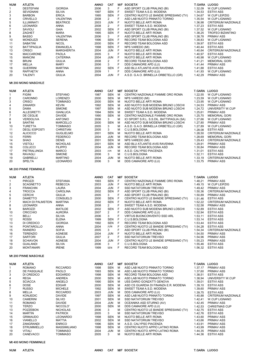| <b>NUM</b>     | <b>ATLETA</b>               |                  | <b>ANNO</b> | <b>CAT</b>     |     | <b>M/F SOCIETA'</b>                   |         | T.GARA LUOGO               |  |  |  |
|----------------|-----------------------------|------------------|-------------|----------------|-----|---------------------------------------|---------|----------------------------|--|--|--|
|                | <b>DESTEFANI</b>            | <b>GIORGIA</b>   | 2006        | 3              | F   | ASD SPORT CLUB PRALINO (BI)           | 1.32,09 | <b>W.CUP LIGNANO</b>       |  |  |  |
| $\overline{2}$ | <b>SEVIGNANI</b>            | <b>SILVIA</b>    | 1997        | SEN F          |     | SWEET TEAM A.S.D. MODENA              | 1.34,53 | <b>ESTIVI ASS</b>          |  |  |  |
| 3              | <b>BARBON</b>               | <b>ERICA</b>     | 1995        | SEN            | - F | CENTRO NUOTO LE BANDIE SPRESIANO (TV) | 1.34,67 | W.CUP LEIPZIG              |  |  |  |
| 4              | <b>CRIVELLO</b>             | <b>VALENTINA</b> | 2008        | $\overline{2}$ | F   | ASD LAB NUOTO PINNATO TORINO          | 1.35.54 | <b>W.CUP LIGNANO</b>       |  |  |  |
| 5              | ILLUMINATI                  | <b>BEATRICE</b>  | 2003        | JUN            | - F | NUOTO BELLE ARTI ROMA                 | 1.36.98 | <b>CRITERIUM NAZIONALE</b> |  |  |  |
| 6              | <b>LEONARDI</b>             | ANNA             | 2008        | $\overline{2}$ | F   | SWEET TEAM A.S.D. MODENA              | 1.37,23 | ESTIVI ASS                 |  |  |  |
| $\overline{7}$ | <b>SAVIOLI</b>              | GAIA             | 2002        | SEN            | - F | ASD SPORT CLUB PRALINO (BI)           | 1.37,52 | <b>W.CUP LIGNANO</b>       |  |  |  |
| 8              | <b>ZAGHET</b>               | MARA             | 1995        | SEN            | - F | NUOTO BELLE ARTI ROMA                 | 1.38.25 | <b>TROFEO BIZANTINO</b>    |  |  |  |
| 9              | BASSO                       | VALENTINA        | 2006        | $3^{\circ}$    | -F  | ASD SPORT CLUB PRALINO (BI)           | 1.38.78 | <b>PRIMAV ASS</b>          |  |  |  |
| 10             | <b>MONDUZZI</b>             | <b>SERENA</b>    | 1996        | SEN            | - F | RECORD TEAM BOLOGNA ASD               | 1.38,83 | <b>W.CUP LIGNANO</b>       |  |  |  |
| 11             | SABATINI                    | <b>NICOL</b>     | 2000        | SEN F          |     | RECORD TEAM BOLOGNA ASD               | 1.39,97 | <b>ESTIVI ASS</b>          |  |  |  |
| 12             | <b>BATTIPAGLIA</b>          | <b>EMANUELA</b>  | 1998        | SEN F          |     | NPS VAREDO (MI)                       | 1.40.44 | <b>ESTIVI ASS</b>          |  |  |  |
| 13             | <b>CRISCI</b>               | MARGHERITA       | 2004        | JUN F          |     | NUOTO BELLE ARTI ROMA                 | 1.40,64 | <b>CRITERIUM NAZIONALE</b> |  |  |  |
| 14             | <b>MACCARONE</b>            | PAOLA            | 2005        | $3^{\circ}$    | F   | NUOTO BELLE ARTI ROMA                 | 1.40,97 | <b>ESTIVI ASS</b>          |  |  |  |
| 15             | <b>MANCINI</b>              | CATERINA         | 2004        | JUN            | - F | NUOTO BELLE ARTI ROMA                 | 1.40,98 | W.CUP LIGNANO              |  |  |  |
| 16             | <b>BRUNI</b>                | <b>GIULIA</b>    | 2008        | $\overline{2}$ | F.  | RECORD TEAM BOLOGNA ASD               | 1.41.21 | <b>MEMORIAL GORI</b>       |  |  |  |
| 17             | MELLA                       | MARY             | 2006        | $\mathbf{3}$   | F   | DDS CAMAIORE APD (LU)                 | 1.41,44 | <b>PRIMAV ASS</b>          |  |  |  |
| 18             | <b>GUERRINI</b>             | MARTINA          | 2002        | SEN            | - F | ASD BLU ATLANTIS AVIS RAVENNA         | 1.41.88 | <b>ESTIVI ASS</b>          |  |  |  |
| 19             | RAFFAETA'                   | ANNA             | 2009        | $1 \quad$      | F   | DDS CAMAIORE APD (LU)                 | 1.41,93 | <b>W.CUP LIGNANO</b>       |  |  |  |
| 20             | <b>TALENTI</b>              | <b>GIULIA</b>    | 2004        | JUN            | - F | A.S.D. G.A.O. BRINELLA ORBETELLO (GR) | 1.42,29 | <b>PRIMAV ASS</b>          |  |  |  |
|                | <b>Mt 200 MONO MASCHILE</b> |                  |             |                |     |                                       |         |                            |  |  |  |
|                |                             |                  |             |                |     |                                       |         |                            |  |  |  |

| <b>NUM</b>     | <b>ATLETA</b>        |                  | <b>ANNO</b> | <b>CAT</b> |   | <b>MF SOCIETA'</b>                         | T.GARA LUOGO |                            |
|----------------|----------------------|------------------|-------------|------------|---|--------------------------------------------|--------------|----------------------------|
|                | <b>FIGINI</b>        | <b>STEFANO</b>   | 1987        | <b>SEN</b> | м | CENTRO NAZIONALE FIAMME ORO ROMA           | 1.22.55      | <b>W.CUP LIGNANO</b>       |
| $\overline{2}$ | CARONNO              | <b>LORENZO</b>   | 2000        | <b>SEN</b> | M | NPS VAREDO (MI)                            | 1.23.59      | W.CUP LIGNANO              |
| 3              | <b>CRISCI</b>        | TOMMASO          | 2000        | <b>SEN</b> | M | NUOTO BELLE ARTI ROMA                      | 1.23.95      | <b>W.CUP LIGNANO</b>       |
| 4              | ZANARDI              | <b>KEVIN</b>     | 1992        | <b>SEN</b> | M | ASD NUOTO SUB MODENA BRUNO LOSCHI          | 1.24.53      | <b>PRIMAV ASS</b>          |
| 5              | <b>DAMA</b>          | <b>SIMONE</b>    | 1997        | <b>SEN</b> | M | ASD NUOTO SUB MODENA BRUNO LOSCHI          | 1.24.72      | UNIVERSITY W.CUP           |
| 6              | <b>ALLEGRETTI</b>    | <b>GIANLUCA</b>  | 1994        | <b>SEN</b> | M | SWEET TEAM A.S.D. MODENA                   | 1.25.61      | <b>PRIMAV ASS</b>          |
|                | DE CEGLIE            | <b>DAVIDE</b>    | 1990        | <b>SEN</b> | M | CENTRO NAZIONALE FIAMME ORO ROMA           | 1.25,70      | <b>MEMORIAL GORI</b>       |
| 8              | <b>VERDOLIVA</b>     | <b>ANTONIO</b>   | 2006        | 3          | M | ICI SPORT S.R.L. S.S.DIL. BATTIPAGLIA (SA) | 1.27.66      | <b>W.CUP LIGNANO</b>       |
| 9              | <b>SANTINI</b>       | <b>MARCELLO</b>  | 2000        | <b>SEN</b> | M | ASD NUOTO SUB MODENA BRUNO LOSCHI          | 1.27.80      | <b>PRIMAV ASS</b>          |
| 10             | <b>TURETTA</b>       | <b>TOMMASO</b>   | 2005        | 3          | M | A.S.D. G.A.O. BRINELLA ORBETELLO (GR)      | 1.27,89      | <b>W.CUP LIGNANO</b>       |
| 11             | <b>DEGLI ESPOSTI</b> | <b>CHRISTIAN</b> | 2005        | 3          | м | C.U.S.BOLOGNA                              | 1.28.08      | <b>ESTIVI ASS</b>          |
| 12             | <b>ALICICCO</b>      | <b>GUGLIELMO</b> | 2001        | <b>SEN</b> | M | NUOTO BELLE ARTI ROMA                      | 1.28.50      | <b>CRITERIUM NAZIONALE</b> |
| 13             | <b>FERRI</b>         | <b>FEDERICO</b>  | 2004        | <b>JUN</b> | M | RECORD TEAM BOLOGNA ASD                    | 1.28.69      | <b>MEMORIAL GORI</b>       |
| 14             | <b>SHAO</b>          | <b>DENIS</b>     | 2001        | <b>SEN</b> | M | NPS VAREDO (MI)                            | 1.29.43      | <b>CRITERIUM NAZIONALE</b> |
| 15             | <b>VISTOLI</b>       | <b>NICHOLAS</b>  | 2001        | <b>SEN</b> | M | ASD BLU ATLANTIS AVIS RAVENNA              | 1.29.91      | <b>PRIMAV ASS</b>          |
| 16             | <b>COLUCCI</b>       | <b>FILIPPO</b>   | 2004        | <b>JUN</b> | M | RECORD TEAM BOLOGNA ASD                    | 1.30.84      | <b>PRIMAV ASS</b>          |
| 17             | PIETRALUNGA          | <b>MARCO</b>     | 2003        | JUN        | м | A.S.D. CALYPSO PIACENZA                    | 1.31.01      | <b>ESTIVI ASS</b>          |
| 18             | <b>RAVAGLI</b>       | <b>SIMONE</b>    | 2006        | 3          | м | C.U.S.BOLOGNA                              | 1.32.11      | <b>ESTIVI ASS</b>          |
| 19             | <b>GABRIELLI</b>     | <b>MARTINO</b>   | 2004        | <b>JUN</b> | M | NUOTO BELLE ARTI ROMA                      | 1.33,19      | <b>CRITERIUM NAZIONALE</b> |
| 20             | <b>SPELTA</b>        | <b>LEONARDO</b>  | 2006        | 3          | M | DDS CAMAIORE APD (LU)                      | 1.33.75      | <b>PRIMAV ASS</b>          |

#### Mt 200 PINNE FEMMINILE

| <b>NUM</b> | <b>ATLETA</b>     |                 | <b>ANNO</b> | <b>CAT</b>     |     | <b>MF SOCIETA'</b>                    |         | <b>T.GARA LUOGO</b>         |
|------------|-------------------|-----------------|-------------|----------------|-----|---------------------------------------|---------|-----------------------------|
|            | <b>PIROZZI</b>    | <b>STEFANIA</b> | 1993        | <b>SEN</b>     | - F | CENTRO NAZIONALE FIAMME ORO ROMA      | 1.48.21 | <b>PRIMAV ASS</b>           |
| 2          | <b>SCAGNETTO</b>  | <b>REBECCA</b>  | 2003        | JUN F          |     | NUOTO BELLE ARTI ROMA                 | 1.49.15 | W.CUP LEIPZIG               |
| 3          | <b>FRANCHIN</b>   | <b>LAURA</b>    | 2004        | <b>JUN</b>     | F   | SSD NATATORIUM TREVISO                | 1.49.42 | <b>PRIMAV ASS</b>           |
|            | <b>TROCCA</b>     | <b>CAROLINA</b> | 2002        | SEN            | - F | ASD SPORT CLUB PRALINO (BI)           | 1.50,36 | <b>CRITERIUM NAZIONALE</b>  |
| 5          | <b>CERCHI</b>     | <b>GIULIA</b>   | 2005        | $3^{\circ}$    | F   | ASD SPORT CLUB PRALINO (BI)           | 1.50.89 | <b>PRIMAV ASS</b>           |
| 6          | <b>DAMETTO</b>    | CONSUELO        | 2000        | SEN F          |     | CENTRO NUOTO LE BANDIE SPRESIANO (TV) | 1.51.46 | <b>ESTIVI ASS</b>           |
|            | MACH DI PALMSTEIN | MARTINA         | 2002        | SEN F          |     | NUOTO BELLE ARTI ROMA                 |         | 1.52,22 CRITERIUM NAZIONALE |
| 8          | <b>LEONARDI</b>   | <b>ANNA</b>     | 2008        | $\mathbf{2}$   | - F | SWEET TEAM A.S.D. MODENA              | 1.52,58 | <b>PRIMAV ASS</b>           |
| 9          | BAROZZI           | <b>MATILDE</b>  | 2002        | <b>SEN</b>     | - F | ASD NUOTO SUB MODENA BRUNO LOSCHI     | 1.52.89 | <b>ESTIVI ASS</b>           |
| 10         | <b>CRICCHIO</b>   | <b>AURORA</b>   | 2007        | 2              | - F | DDS CAMAIORE APD (LU)                 | 1.52.94 | <b>ESTIVI ASS</b>           |
| 11         | BELLI             | SILVIA          | 2006        | $3^{\circ}$    | F   | VIRTUS BUONCONVENTO SSD ARL           | 1.53,11 | <b>ESTIVI ASS</b>           |
| 12         | <b>ROSSI</b>      | <b>ELENA</b>    | 1999        | SEN            | - F | C.U.S.BOLOGNA                         | 1.53.14 | <b>ESTIVI ASS</b>           |
| 13         | DI CREDICO        | <b>GIORGIA</b>  | 1992        | <b>SEN</b>     | - F | RECORD TEAM BOLOGNA ASD               | 1.53.44 | <b>ESTIVI ASS</b>           |
| 14         | <b>PONTAROLLO</b> | ANNA            | 2004        | <b>JUN</b>     | - F | CENTRO NUOTO LE BANDIE SPRESIANO (TV) | 1.54.28 | ESTIVI ASS                  |
| 15         | <b>RAINERO</b>    | <b>SOFIA</b>    | 2005        | $3^{\circ}$    | E   | ASD SPORT CLUB PRALINO (BI)           | 1.54.34 | <b>CRITERIUM NAZIONALE</b>  |
| 16         | <b>TERENZIO</b>   | <b>AGNESE</b>   | 2004        | JUN F          |     | NUOTO BELLE ARTI ROMA                 | 1.54,50 | <b>PRIMAV ASS</b>           |
| 17         | <b>SARTORI</b>    | <b>GIULIA</b>   | 2007        | $\mathbf{2}$   | E   | SSD NATATORIUM TREVISO                | 1.54,96 | <b>PRIMAV ASS</b>           |
| 18         | <b>SCHIAVON</b>   | <b>AGNESE</b>   | 2004        | JUN            | - F | CENTRO NUOTO LE BANDIE SPRESIANO (TV) | 1.55,23 | <b>PRIMAV ASS</b>           |
| 19         | <b>GUALANDI</b>   | <b>SILVIA</b>   | 2006        | 3 <sup>1</sup> | F   | C.U.S.BOLOGNA                         | 1.55.46 | <b>ESTIVI ASS</b>           |
| 20         | <b>MONTANARI</b>  | <b>IRENE</b>    | 1999        | SEN            | E   | RECORD TEAM BOLOGNA ASD               | 1.56.32 | <b>ESTIVI ASS</b>           |

#### Mt 200 PINNE MASCHILE

| <b>NUM</b> | <b>ATLETA</b>      |                     | <b>ANNO</b> | <b>CAT</b> |   | <b>M/F SOCIETA'</b>                   |         | T.GARA LUOGO               |
|------------|--------------------|---------------------|-------------|------------|---|---------------------------------------|---------|----------------------------|
|            | <b>ROMANO</b>      | <b>RICCARDO</b>     | 1998        | <b>SEN</b> | м | ASD LAB NUOTO PINNATO TORINO          | 1.37.17 | <b>PRIMAV ASS</b>          |
|            | DE PASQUALE        | <b>PAOLO</b>        | 1993        | <b>SEN</b> | м | ASD LAB NUOTO PINNATO TORINO          | 1.37.60 | <b>PRIMAV ASS</b>          |
| 3          | DI CREDICO         | <b>EDOARDO</b>      | 1998        | <b>SEN</b> | м | RECORD TEAM BOLOGNA ASD               | 1.38.51 | <b>ESTIVI ASS</b>          |
| 4          | <b>REGA</b>        | <b>ANDREA</b>       | 2000        | <b>SEN</b> | м | ASD LAB NUOTO PINNATO TORINO          | 1.38.94 | UNIVERSITY W.CUP           |
| 5          | <b>SCIACCA</b>     | ANGELO              | 1990        | <b>SEN</b> | м | USS DARIO GONZATTI GENOVA             | 1.39,01 | <b>ESTIVI ASS</b>          |
| 6          | <b>DOSE</b>        | <b>EDGAR</b>        | 2000        | <b>SEN</b> | м | ASD CS GUARDIA DI FINANZA E.R. MODENA | 1.39,10 | <b>ESTIVI ASS</b>          |
|            | <b>RUSSO</b>       | <b>MICHELE</b>      | 1992        | <b>SEN</b> | м | SWEET TEAM A.S.D. MODENA              | 1.39,60 | <b>PRIMAV ASS</b>          |
| 8          | <b>MELLA</b>       | <b>RICCARDO</b>     | 2003        | <b>JUN</b> | М | DDS CAMAIORE APD (LU)                 | 1.39.75 | <b>ESTIVI ASS</b>          |
| 9          | <b>KONJEDIC</b>    | <b>DAVIDE</b>       | 1997        | <b>SEN</b> | м | ASD LAB NUOTO PINNATO TORINO          | 1.40.88 | <b>CRITERIUM NAZIONALE</b> |
| 10         | <b>CAMERINI</b>    | <b>SILVIO</b>       | 2001        | <b>SEN</b> | м | <b>SSD NATATORIUM TREVISO</b>         | 1.42.41 | <b>W.CUP LIGNANO</b>       |
| 11         | <b>ROMANO</b>      | <b>DAVIDE</b>       | 2004        | <b>JUN</b> | M | OCEANIKA ASD STURNO (AV)              | 1.42,45 | <b>PRIMAV ASS</b>          |
| 12         | <b>TERZO</b>       | NICCOLO'            | 2000        | <b>SEN</b> | M | DDS CAMAIORE APD (LU)                 | 1.42.53 | <b>CHRISTMAS CUP</b>       |
| 13         | <b>POZZEBON</b>    | <b>NICHOLAS</b>     | 2006        | 3          | м | CENTRO NUOTO LE BANDIE SPRESIANO (TV) | 1.42,75 | <b>ESTIVI ASS</b>          |
| 14         | <b>MARTIN</b>      | <b>PATRICK</b>      | 2005        | 3          | м | <b>SSD NATATORIUM TREVISO</b>         | 1.42.76 | <b>ESTIVI ASS</b>          |
| 15         | <b>GRIMAUDO</b>    | LEONARDO            | 1998        | <b>SEN</b> | м | NUOTO BELLE ARTI ROMA                 | 1.43,60 | <b>PRIMAV ASS</b>          |
| 16         | <b>VIANELLO</b>    | <b>MATTIA</b>       | 2002        | <b>SEN</b> | м | <b>SSD NATATORIUM TREVISO</b>         | 1.43.66 | <b>PRIMAV ASS</b>          |
| 17         | <b>ZANGRANDI</b>   | <b>ENRICO</b>       | 1996        | <b>SEN</b> | м | A.S.D. CALYPSO PIACENZA               | 1.43,91 | <b>PRIMAV ASS</b>          |
| 18         | <b>STRUMMIELLO</b> | <b>MASSIMILIANO</b> | 1998        | <b>SEN</b> | м | CENTRO NUOTO APPIO LATINO ROMA        | 1.43,99 | <b>PRIMAV ASS</b>          |
| 19         | <b>VITALI</b>      | TOMMASO             | 2004        | <b>JUN</b> | м | CENTRO NUOTO APPIO LATINO ROMA        | 1.44,35 | <b>PRIMAV ASS</b>          |
| 20         | <b>CANEVACCI</b>   | TOMMASO             | 2005        | 3          | м | NUOTO BELLE ARTI ROMA                 | 1.44.36 | <b>ESTIVI ASS</b>          |

## Mt 400 MONO FEMMINILE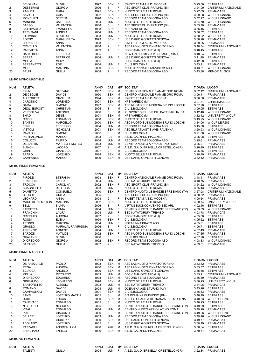|    | <b>SEVIGNANI</b>   | <b>SILVIA</b>     | 1997 | SEN        | -F  | SWEET TEAM A.S.D. MODENA          | 3.23.30 | <b>ESTIVI ASS</b>          |
|----|--------------------|-------------------|------|------------|-----|-----------------------------------|---------|----------------------------|
|    | <b>DESTEFANI</b>   | <b>GIORGIA</b>    | 2006 | 3          | F   | ASD SPORT CLUB PRALINO (BI)       | 3.24.09 | <b>CRITERIUM NAZIONALE</b> |
| 3  | ZAGHET             | <b>MARA</b>       | 1995 | SEN        | -F  | NUOTO BELLE ARTI ROMA             | 3.27.69 | <b>PRIMAV ASS</b>          |
| 4  | <b>SAVIOLI</b>     | <b>GAIA</b>       | 2002 | SEN        | -F  | ASD SPORT CLUB PRALINO (BI)       | 3.29.08 | <b>W.CUP LIGNANO</b>       |
| 5  | <b>MONDUZZI</b>    | <b>SERENA</b>     | 1996 | SEN        | - F | RECORD TEAM BOLOGNA ASD           | 3.32.97 | <b>W.CUP LIGNANO</b>       |
| 6  | <b>MANCINI</b>     | <b>CATERINA</b>   | 2004 | JUN        |     | NUOTO BELLE ARTI ROMA             | 3.34.70 | W.CUP LIGNANO              |
|    | BASSO              | VALENTINA         | 2006 | 3          |     | ASD SPORT CLUB PRALINO (BI)       | 3.35,70 | <b>PRIMAV ASS</b>          |
| 8  | <b>BATTIPAGLIA</b> | <b>EMANUELA</b>   | 1998 | SEN        | - F | NPS VAREDO (MI)                   | 3.36.45 | <b>ESTIVI ASS</b>          |
| 9  | <b>TREVISANI</b>   | ANGELA            | 2004 | JUN        | - F | RECORD TEAM BOLOGNA ASD           | 3.36,52 | <b>ESTIVI ASS</b>          |
| 10 | ILLUMINATI         | <b>BEATRICE</b>   | 2003 | <b>JUN</b> | - F | NUOTO BELLE ARTI ROMA             | 3.38,02 | <b>W.CUP EGER</b>          |
| 11 | <b>FORNO</b>       | <b>MARGHERITA</b> | 1999 | SEN        | - F | USS DARIO GONZATTI GENOVA         | 3.38,28 | <b>PRIMAV ASS</b>          |
| 12 | <b>LEONARDI</b>    | ANNA              | 2008 | 2          |     | SWEET TEAM A.S.D. MODENA          | 3.39.05 | <b>PRIMAV ASS</b>          |
| 13 | <b>CRIVELLO</b>    | VALENTINA         | 2008 | 2          |     | ASD LAB NUOTO PINNATO TORINO      | 3.40,34 | <b>CRITERIUM NAZIONALE</b> |
| 14 | RAFFAETA'          | <b>ANNA</b>       | 2009 |            |     | DDS CAMAIORE APD (LU)             | 3.40,45 | <b>ESTIVI ASS</b>          |
| 15 | CASALBORE          | <b>FEDERICA</b>   | 2005 | 3          |     | NEW LINE POMEZIA 2 SSD ARL (ROMA) | 3.40.94 | <b>ESTIVI ASS</b>          |
| 16 | <b>SERRA</b>       | <b>BEATRICE</b>   | 2004 | <b>JUN</b> |     | USS DARIO GONZATTI GENOVA         | 3.41,48 | <b>PRIMAV ASS</b>          |
| 17 | MELLA              | <b>MERY</b>       | 2006 | 3          |     | DDS CAMAIORE APD (LU)             | 3.42,98 | <b>ESTIVI ASS</b>          |
| 18 | <b>BERSANETTI</b>  | ZOE               | 2004 | <b>JUN</b> | -F  | C.U.S.BOLOGNA                     | 3.43,11 | <b>PRIMAV ASS</b>          |
| 19 | MORI               | <b>MARTINA</b>    | 2000 | SEN        | -F  | NUOTO PINNATO TARVISIUM ASD       | 3.43.31 | W.CUP LIGNANO              |
| 20 | <b>BRUNI</b>       | <b>GIULIA</b>     | 2008 | 2          |     | RECORD TEAM BOLOGNA ASD           | 3.43.38 | <b>MEMORIAL GORI</b>       |
|    |                    |                   |      |            |     |                                   |         |                            |

# Mt 400 MONO MASCHILE

| <b>NUM</b> | <b>ATLETA</b>        |                       | <b>ANNO</b> | <b>CAT</b>     |   | <b>M/F SOCIETA'</b>                        | <b>T.GARA LUOGO</b> |                            |
|------------|----------------------|-----------------------|-------------|----------------|---|--------------------------------------------|---------------------|----------------------------|
|            | <b>FIGINI</b>        | <b>STEFANO</b>        | 1987        | <b>SEN</b>     | м | CENTRO NAZIONALE FIAMME ORO ROMA           | 3.02.12             | <b>CRITERIUM NAZIONALE</b> |
| 2          | DE CEGLIE            | <b>DAVIDE</b>         | 1990        | <b>SEN</b>     | M | CENTRO NAZIONALE FIAMME ORO ROMA           | 3.06.11             | <b>PRIMAV ASS</b>          |
| 3          | <b>ALLEGRETTI</b>    | <b>GIANLUCA</b>       | 1994        | <b>SEN</b>     | м | SWEET TEAM A.S.D. MODENA                   | 3.06,50             | <b>PRIMAV ASS</b>          |
| 4          | <b>CARONNO</b>       | LORENZO               | 2001        | <b>SEN</b>     | м | NPS VAREDO (MI)                            | 3.07,81             | <b>CHRISTMAS CUP</b>       |
| 5          | <b>DAMA</b>          | <b>SIMONE</b>         | 1997        | <b>SEN</b>     | м | ASD NUOTO SUB MODENA BRUNO LOSCHI          | 3.07,98             | <b>ESTIVI ASS</b>          |
| 6          | <b>DEGLI ESPOSTI</b> | <b>CHRISTIAN</b>      | 2005        | 3              | м | C.U.S.BOLOGNA                              | 3.09.05             | <b>ESTIVI ASS</b>          |
|            | <b>VERDOLIVA</b>     | <b>ANTONIO</b>        | 2006        | 3              | м | ICI SPORT S.R.L. S.S.DIL. BATTIPAGLIA (SA) | 3.12.40             | <b>W.CUP LIGNANO</b>       |
| 8          | <b>SHAO</b>          | <b>DENIS</b>          | 2001        | <b>SEN</b>     | м | NPS VAREDO (MI)                            | 3.12.42             | UNIVERSITY W.CUP           |
| 9          | <b>CRISCI</b>        | <b>TOMMASO</b>        | 2000        | <b>SEN</b>     | M | NUOTO BELLE ARTI ROMA                      | 3.13.25             | <b>W.CUP LIGNANO</b>       |
| 10         | <b>SANTINI</b>       | <b>MARCELLO</b>       | 2000        | <b>SEN</b>     | м | ASD NUOTO SUB MODENA BRUNO LOSCHI          | 3.14.06             | W.CUP LEIPZIG              |
| 11         | <b>FERRI</b>         | <b>FEDERICO</b>       | 2004        | <b>JUN</b>     | м | RECORD TEAM BOLOGNA ASD                    | 3.15.88             | <b>ESTIVI ASS</b>          |
| 12         | <b>VISTOLI</b>       | <b>NICHOLAS</b>       | 2001        | <b>SEN</b>     | м | ASD BLU ATLANTIS AVIS RAVENNA              | 3.20.93             | <b>W.CUP LIGNANO</b>       |
| 13         | RAVAGLI              | <b>SIMONE</b>         | 2006        | 3              | м | C.U.S.BOLOGNA                              | 3.21.08             | <b>W.CUP LIGNANO</b>       |
| 14         | PIETRALUNGA          | <b>MARCO</b>          | 2003        | <b>JUN</b>     | м | A.S.D. CALYPSO PIACENZA                    | 3.25.08             | <b>ESTIVI ASS</b>          |
| 15         | <b>COLUCCI</b>       | <b>FILIPPO</b>        | 2004        | <b>JUN</b>     | м | RECORD TEAM BOLOGNA ASD                    | 3.25.61             | <b>PRIMAV ASS</b>          |
| 16         | <b>DE SANTIS</b>     | <b>MATTEO TIMOTEO</b> | 2003        | <b>JUN</b>     | м | CENTRO NUOTO APPIO LATINO ROMA             | 3.26.27             | <b>PRIMAV ASS</b>          |
| 17         | <b>BIANCHI</b>       | <b>JACOPO</b>         | 2007        | $\overline{2}$ | м | A.S.D. G.A.O. BRINELLA ORBETELLO (GR)      | 3.26,40             | <b>ESTIVI ASS</b>          |
| 18         | <b>GHINI</b>         | <b>GIANLUCA</b>       | 2007        | $\overline{2}$ | м | C.U.S.BOLOGNA                              | 3.26,86             | <b>ESTIVI ASS</b>          |
| 19         | <b>APARO</b>         | LORENZO               | 1988        | <b>SEN</b>     | м | NUOTO BELLE ARTI ROMA                      | 3.28.79             | <b>PRIMAV ASS</b>          |
| 20         | <b>CAMPANILE</b>     | <b>MARCO</b>          | 1999        | <b>SEN</b>     | м | USS DARIO GONZATTI GENOVA                  | 3.32.42             | <b>PRIMAV ASS</b>          |

#### Mt 400 PINNE FEMMINILE

| <b>NUM</b> | <b>ATLETA</b>            |                            | <b>ANNO</b> | <b>CAT</b>     |     | <b>M/F SOCIETA'</b>                   |         | T.GARA LUOGO               |
|------------|--------------------------|----------------------------|-------------|----------------|-----|---------------------------------------|---------|----------------------------|
|            | <b>PIROZZI</b>           | <b>STEFANIA</b>            | 1993        | <b>SEN</b>     | E   | CENTRO NAZIONALE FIAMME ORO ROMA      | 3.48.41 | <b>PRIMAV ASS</b>          |
| 2          | <b>FRANCHIN</b>          | <b>LAURA</b>               | 2004        | <b>JUN</b>     | -F  | SSD NATATORIUM TREVISO                | 3.48,75 | <b>PRIMAV ASS</b>          |
| 3          | <b>TROCCA</b>            | <b>CAROLINA</b>            | 2002        | <b>SEN</b>     | -F  | ASD SPORT CLUB PRALINO (BI)           | 3.54,22 | <b>W.CUP LIGNANO</b>       |
| 4          | <b>SCAGNETTO</b>         | <b>REBECCA</b>             | 2003        | <b>JUN</b>     | -F  | NUOTO BELLE ARTI ROMA                 | 3.55,43 | <b>PRIMAV ASS</b>          |
| 5          | <b>DAMETTO</b>           | CONSUELO                   | 2000        | <b>SEN</b>     | E   | CENTRO NUOTO LE BANDIE SPRESIANO (TV) | 3.57,08 | <b>CRITERIUM NAZIONALE</b> |
| 6          | <b>CERCHI</b>            | <b>GIULIA</b>              | 2005        | 3              | E   | ASD SPORT CLUB PRALINO (BI)           | 3.58,62 | <b>PRIMAV ASS</b>          |
|            | LEONARDI                 | <b>ANNA</b>                | 2008        | 2              | F   | SWEET TEAM A.S.D. MODENA              | 4.00,64 | <b>PRIMAV ASS</b>          |
| 8          | <b>MACH DI PALMSTEIN</b> | <b>MARTINA</b>             | 2002        | <b>SEN</b>     | -F  | NUOTO BELLE ARTI ROMA                 | 4.00,74 | UNIVERSITY W.CUP           |
| 9          | BELLI                    | <b>SILVIA</b>              | 2006        | 3              | F   | VIRTUS BUONCONVENTO SSD ARL           | 4.02,46 | <b>ESTIVI ASS</b>          |
| 10         | <b>FASSETTA</b>          | <b>ILENIA</b>              | 2004        | <b>JUN</b>     | E   | CENTRO NUOTO LE BANDIE SPRESIANO (TV) | 4.03.09 | <b>W.CUP LIGNANO</b>       |
| 11         | <b>FRANCHIN</b>          | <b>LAURA</b>               | 2004        | <b>JUN</b>     | -F  | <b>SSD NATATORIUM TREVISO</b>         | 4.03,78 | PRIMAV CAT                 |
| 12         | <b>CRICCHIO</b>          | <b>AURORA</b>              | 2007        | $\overline{2}$ | F   | DDS CAMAIORE APD (LU)                 | 4.05,00 | <b>ESTIVI ASS</b>          |
| 13         | <b>ROSSI</b>             | <b>ELENA</b>               | 1999        | <b>SEN</b>     | E   | C.U.S.BOLOGNA                         | 4.05.52 | <b>ESTIVI ASS</b>          |
| 14         | <b>TRONCI</b>            | <b>MARTINA</b>             | 2004        | <b>JUN</b>     | -F  | NOTAPINNA PRATO ASD                   | 4.05,81 | <b>ESTIVI ASS</b>          |
| 15         | <b>GRASSO</b>            | <b>MARIALAURA VIRGINIA</b> | 2006        | $3^{\circ}$    | F   | C.U.S.BOLOGNA                         | 4.06,71 | <b>ESTIVI ASS</b>          |
| 16         | TERENZIO                 | AGNESE                     | 2004        | <b>JUN</b>     | -F  | NUOTO BELLE ARTI ROMA                 | 4.07,49 | <b>PRIMAV ASS</b>          |
| 17         | <b>BAROZZI</b>           | <b>MATILDE</b>             | 2002        | <b>SEN</b>     | - F | ASD NUOTO SUB MODENA BRUNO LOSCHI     | 4.07,65 | <b>PRIMAV ASS</b>          |
| 18         | <b>GUALANDI</b>          | <b>SILVIA</b>              | 2006        | 3 <sup>1</sup> | F   | C.U.S.BOLOGNA                         | 4.07,96 | <b>ESTIVI ASS</b>          |
| 19         | DI CREDICO               | <b>GIORGIA</b>             | 1992        | <b>SEN</b>     | -F  | RECORD TEAM BOLOGNA ASD               | 4.08,33 | <b>W.CUP LIGNANO</b>       |
| 20         | <b>SARTORI</b>           | <b>GIULIA</b>              | 2007        | 2              | F   | <b>SSD NATATORIUM TREVISO</b>         | 4.09.01 | <b>PRIMAV ASS</b>          |

## Mt 400 PINNE MASCHILE

| <b>NUM</b>     | <b>ATLETA</b>              |                 | <b>ANNO</b> | <b>CAT</b> |   | <b>M/F SOCIETA'</b>                   | <b>T.GARA LUOGO</b> |                            |  |  |  |
|----------------|----------------------------|-----------------|-------------|------------|---|---------------------------------------|---------------------|----------------------------|--|--|--|
|                | DE PASQUALE                | <b>PAOLO</b>    | 1993        | <b>SEN</b> | м | ASD LAB NUOTO PINNATO TORINO          | 3.33.32             | <b>PRIMAV ASS</b>          |  |  |  |
| 2              | <b>REGA</b>                | <b>ANDREA</b>   | 2000        | SEN        | м | ASD LAB NUOTO PINNATO TORINO          | 3.35,57             | <b>ESTIVI ASS</b>          |  |  |  |
| 3              | <b>SCIACCA</b>             | ANGELO          | 1990        | <b>SEN</b> | M | USS DARIO GONZATTI GENOVA             | 3.35,68             | <b>ESTIVI ASS</b>          |  |  |  |
| 4              | MELLA                      | <b>RICCARDO</b> | 2003        | <b>JUN</b> | M | DDS CAMAIORE APD (LU)                 | 3.35,91             | <b>CRITERIUM NAZIONALE</b> |  |  |  |
| 5              | DI CREDICO                 | <b>EDOARDO</b>  | 1998        | SEN        | м | RECORD TEAM BOLOGNA ASD               | 3.36,89             | <b>PRIMAV ASS</b>          |  |  |  |
| 6              | <b>GRIMAUDO</b>            | LEONARDO        | 1998        | SEN        | M | NUOTO BELLE ARTI ROMA                 | 3.38,95             | UNIVERSITY W.CUP           |  |  |  |
| $\overline{7}$ | SARTORETTO                 | <b>ALESSIO</b>  | 2003        | <b>JUN</b> | M | SSD NATATORIUM TREVISO                | 3.44,06             | PRIMAV CAT                 |  |  |  |
| 8              | <b>ROMANO</b>              | <b>DAVIDE</b>   | 2004        | <b>JUN</b> | M | OCEANIKA ASD STURNO (AV)              | 3.45,96             | <b>ESTIVI ASS</b>          |  |  |  |
| 9              | <b>CAMPAGNOLI</b>          | <b>DAVIDE</b>   | 2001        | <b>SEN</b> | м | C.U.S.BOLOGNA                         | 3.46,13             | <b>PRIMAV ASS</b>          |  |  |  |
| 10             | FANTI                      | LORENZO MATTIA  | 2005        | 3          | M | SIS ROMA NP FIUMICINO (RM)            | 3.48,19             | <b>ESTIVI ASS</b>          |  |  |  |
| 11             | <b>DOSE</b>                | EDGAR           | 2000        | <b>SEN</b> | м | ASD CS GUARDIA DI FINANZA E.R. MODENA | 3.48,53             | W.CUP LEIPZIG              |  |  |  |
| 12             | <b>CANEVACCI</b>           | <b>TOMMASO</b>  | 2005        | 3          | M | NUOTO BELLE ARTI ROMA                 | 3.48,95             | <b>ESTIVI ASS</b>          |  |  |  |
| 13             | <b>NICEFORO</b>            | <b>NICHOLAS</b> | 2005        | 3          | M | CENTRO NUOTO LE BANDIE SPRESIANO (TV) | 3.49,09             | <b>ESTIVI ASS</b>          |  |  |  |
| 14             | VITALI                     | <b>TOMMASO</b>  | 2004        | <b>JUN</b> | м | CENTRO NUOTO APPIO LATINO ROMA        | 3.49,20             | <b>PRIMAV ASS</b>          |  |  |  |
| 15             | <b>PIAI</b>                | <b>GIACOMO</b>  | 2006        | 3          | M | CENTRO NUOTO LE BANDIE SPRESIANO (TV) | 3.49,26             | W.CUP LEIPZIG              |  |  |  |
| 16             | <b>SELLERI</b>             | <b>LORENZO</b>  | 2003        | <b>JUN</b> | м | RECORD TEAM BOLOGNA ASD               | 3.49,46             | <b>W.CUP LIGNANO</b>       |  |  |  |
| 17             | <b>FUSTO</b>               | <b>GIUSEPPE</b> | 2000        | SEN        | м | USS DARIO GONZATTI GENOVA             | 3.49,77             | <b>PRIMAV CAT</b>          |  |  |  |
| 18             | <b>ABOLAFIO</b>            | <b>LORENZO</b>  | 2005        | 3          | M | USS DARIO GONZATTI GENOVA             | 3.50,19             | PRIMAV ASS                 |  |  |  |
| 19             | PAZZAGLI                   | ANDREA LUCA     | 2006        | 3 U18      | M | A.S.D. G.A.O. BRINELLA ORBETELLO (GR) | 3.50,34             | <b>ESTIVI ASS</b>          |  |  |  |
| 20             | ZANGRANDI                  | <b>ENRICO</b>   | 1996        | SEN        | м | A.S.D. CALYPSO PIACENZA               | 3.50,54             | <b>PRIMAV CAT</b>          |  |  |  |
|                | <b>Mt 400 VS FEMMINILE</b> |                 |             |            |   |                                       |                     |                            |  |  |  |

| <b>NUM</b> |        |        | <b>ANNO</b> |  | CAT M/F SOCIETA'                            | T.GARA  | <b>LUOGO</b>      |
|------------|--------|--------|-------------|--|---------------------------------------------|---------|-------------------|
|            | TALENT | GIULIA | 2004        |  | JUN F A.S.D. G.A.O. BRINELLA ORBETELLO (GR) | 3.22.84 | <b>PRIMAV ASS</b> |